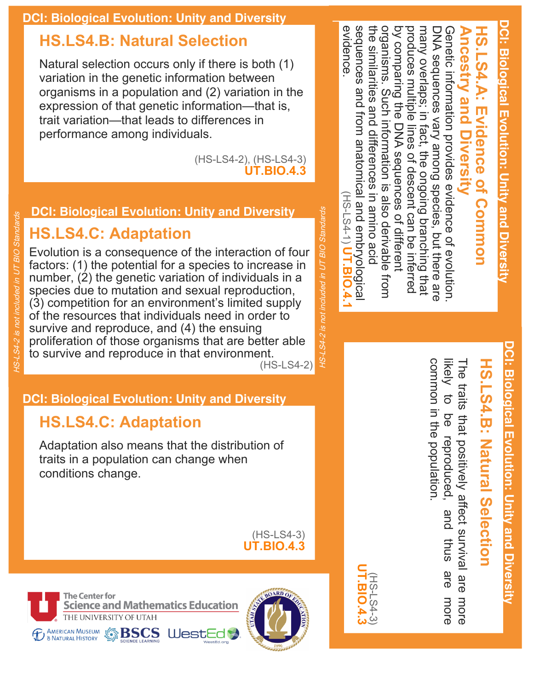#### **DCI: Biological Evolution: Unity and Diversity**

#### **HS.LS4.B: Natural Selection**

Natural selection occurs only if there is both (1) variation in the genetic information between organisms in a population and (2) variation in the expression of that genetic information—that is, trait variation—that leads to differences in performance among individuals.

> (HSLS42), (HSLS43) **UT.BIO.4.3**

#### **DCI: Biological Evolution: Unity and Diversity**

#### **HS.LS4.C: Adaptation**

Evolution is a consequence of the interaction of four factors: (1) the potential for a species to increase in number,  $(2)$  the genetic variation of individuals in a species due to mutation and sexual reproduction, (3) competition for an environment's limited supply of the resources that individuals need in order to survive and reproduce, and (4) the ensuing proliferation of those organisms that are better able to survive and reproduce in that environment.  $(HS-LS4-2)$ 

#### **DCI: Biological Evolution: Unity and Diversity**

#### **HS.LS4.C: Adaptation**

Adaptation also means that the distribution of traits in a population can change when conditions change.

> $(HS-LS4-3)$ **UT.BIO.4.3**









sequences and from anatomical and embryologica organisms **Ancestry and** sequences and from anatomical and the similarities and differences in amino acid the similarities and organisms. by comparing the by comparing the DNA sequences of different produces multiple lines of descent can be many overlaps; in fact, the DNA sequences Genetic information provides evidence of evolution. **HS.LS4.A: Evidence of Common**  produces multiple lines of descent can be inferred many overlaps; in fact, the ongoing branching that DNA sequences vary among species, but there are Genetic information provides exidence of exolution ncestr - Such Such information is also derivable from **Diversity Evidence of** information is also derivable from vary among species, but there are DNA sequences of different differences in amino acid ongoing branching that **Commor** embryological

evidence.

evidence

(HSLS41)

(HS-LS4-1) UT.BIO.4

**UT.BIO.4.1**

HS-LS4-2 is not included in UT BIO Standards

7-SH

S4-2 is not included in UT BIO Standards

(HSLS43) **UT.BIO.4.3**

 $S$ - $FS$ <sup>-</sup>3-3

**IO.4** 

# **DCI: Biological Evolution: Unity and Diversity Ci: Biological Evolution: Uni** ty and Divers

**DCI: Biological Evolution: Unity and Diversity**

**DCI: Biological Evolution: Unity and Divers** 

# **HS.LS4.B: Natural Selection Natural Selection**

common in the population common in the population. The traits that positively affect survival are<br>likely to be reproduced, and thus are The traits that positively affect survival are more l he reproduced, reproduced, and thus are more and thus are more more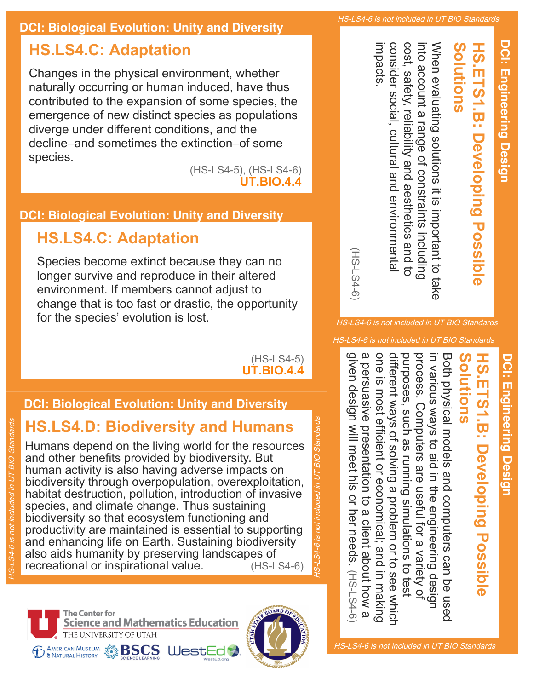#### **DCI: Biological Evolution: Unity and Diversity**

#### **HS.LS4.C: Adaptation**

Changes in the physical environment, whether naturally occurring or human induced, have thus contributed to the expansion of some species, the emergence of new distinct species as populations diverge under different conditions, and the decline–and sometimes the extinction–of some species.

(HS-LS4-5), (HS-LS4-6) **UT.BIO.4.4**

#### **DCI: Biological Evolution: Unity and Diversity**

#### **HS.LS4.C: Adaptation**

Species become extinct because they can no longer survive and reproduce in their altered environment. If members cannot adjust to change that is too fast or drastic, the opportunity for the species' evolution is lost.

> $(HS-LS4-5)$ **UT.BIO.4.4**

> > HS-LS4-6 is not included in UT BIO Standards

ncluded

in UT

#### **DCI: Biological Evolution: Unity and Diversity**

#### **HS.LS4.D: Biodiversity and Humans**

Humans depend on the living world for the resources and other benefits provided by biodiversity. But human activity is also having adverse impacts on biodiversity through overpopulation, overexploitation, habitat destruction, pollution, introduction of invasive species, and climate change. Thus sustaining biodiversity so that ecosystem functioning and productivity are maintained is essential to supporting and enhancing life on Earth. Sustaining biodiversity also aids humanity by preserving landscapes of recreational or inspirational value. (HS-LS4-6)

**The Center for Science and Mathematics Education** THE UNIVERSITY OF UTAH



HS-LS4-6 is not included in UT BIO Standards

S-LS4-6 is not included in UT BIO Standards





### **Solutions** <u>π</u> **HS.ETS1.B: Olutions ILIST B: Developing Possiple Developing Possible**

impacts. consider social, cultural and environmenta consider social, cultural and environmental cost, safety, reliability and aesthetics and to cost, safety, reliability and aesthetics and to into account a range of constraints including into account a range When evaluating solutions it is important to take When evaluating solutions it is important to take of constraints including

(HSLS46)

 $9 - 5S - S + 0$ 

HS-LS4-6 is not included in UT BIO Standards

HS-LS4-6 is not included in UT BIO Standards

### **Solutions HS.ETS1.B: Developing Possible olutions** ETS1 **Developing Possible**

given design will meet his or her needs. (HS-LS4-6 a persuasive presentation to a client about how a one is most efficient or economical; and in making different ways of solving a problem or to see whict in various ways to aid in the engineering design<br>process. Computers are useful for a variety of process. Computers Both physical models given design will meet his or her needs. a persuasive presentation to a client about how a one is most efficient or purposes, such as running simulations to test purposes, such as running simulations to test process. Computers are useful for a in various ways to Both physical models and computers can be used ways of solving a problem or to see which aid in the engineering design and computers economical; and in making can be used (HSLS46)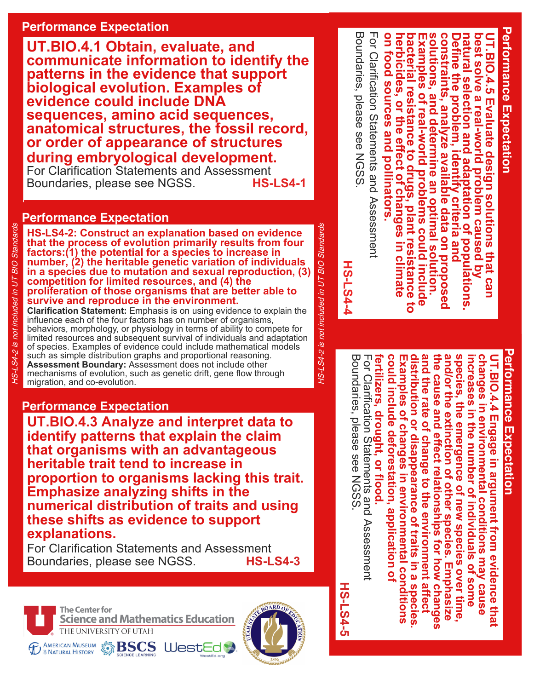#### **Performance Expectation**

**UT.BIO.4.1 Obtain, evaluate, and communicate information to identify the patterns in the evidence that support biological evolution. Examples of evidence could include DNA sequences, amino acid sequences, anatomical structures, the fossil record, or order of appearance of structures during embryological development.** 

For Clarification Statements and Assessment<br>Boundaries, please see NGSS. HS-LS4-1 Boundaries, please see NGSS.

#### **Performance Expectation**

HS-LS4-2 is not included in UT BIO Standards

1S-LS4-2 is not included in UT

**BIO Standards** 

**HSLS42: Construct an explanation based on evidence that the process of evolution primarily results from four factors:(1) the potential for a species to increase in number, (2) the heritable genetic variation of individuals in a species due to mutation and sexual reproduction, (3) competition for limited resources, and (4) the proliferation of those organisms that are better able to survive and reproduce in the environment.**

**Clarification Statement:** Emphasis is on using evidence to explain the influence each of the four factors has on number of organisms, behaviors, morphology, or physiology in terms of ability to compete for limited resources and subsequent survival of individuals and adaptation of species. Examples of evidence could include mathematical models such as simple distribution graphs and proportional reasoning. **Assessment Boundary:** Assessment does not include other mechanisms of evolution, such as genetic drift, gene flow through migration, and co-evolution.

#### **Performance Expectation**

**UT.BIO.4.3 Analyze and interpret data to identify patterns that explain the claim that organisms with an advantageous heritable trait tend to increase in proportion to organisms lacking this trait. Emphasize analyzing shifts in the numerical distribution of traits and using these shifts as evidence to support explanations.** 

For Clarification Statements and Assessment Boundaries, please see NGSS. **HS-LS4-3**









For Clarification Statements and Assessment For Clarification Statements and Assessment **on food herbicides, or the effect of changes in climate sources and pollinators. Examples of solutions, and determine an optimal solution. real-world problems could include bacterial resistance to drugs, plant resistance to Define natural selection and adaptation of populations. the problem, identify criteria and constraints, analyze available data on proposed**  on food sources and pollinators herbicides, or the effect of changes in climate constraints, analyze available data on proposed **best solve a real-world problem UT.BIO.4.5 Evaluate design solutions that can caused by**  pacterial resistance to drugs, plant resistance Examples of real-world problems could include Define the problem, identify criteria and iolutions, and determine an optimal solution. latural selection and adaptation of populations est solve a real-world problem caused b **BIO.4.5** Evaluate design solutions that can อี

# HS-LS4-2 is not included in UT BIO StandardsHS-LS4-2 is not included in UT BIO Standards

**HS-LS4-4**

**HS-LS4-4** 

Boundaries, please see NGSS.

Boundaries, please see NGSS

Boundaries, please see NGSS.

Boundaries, please see NGSS

# **Performance Expectation** Expectation

and/or the extinction of other species. Emphasize species, the emergence of new species over time For Clarification Statements and Assessment could include deforestation, application o Examples of changes in environmental conditions distribution or disappearance of traits in a species and the rate of change to the environment affect the cause and effect relationships for how changes changes in environmental conditions may cause For Clarification Statements and Assessment **fertilizers, drought, or flood. could include deforestation, application of Examples of changes in environmental conditions distribution or disappearance of traits in a species. and the rate of change to the environment affect the cause and effect relationships for how changes and/or the extinction of other species. Emphasize species, the emergence of new species over time, increases in the number of individuals of some changes in environmental conditions may cause UT.BIO.4.4 Engage in argument from evidence that**  fertilizers, drought, or flood. increases in the number of individuals of some UT.BIO.4.4 Engage in argument from evidence that

**HS-LS4-5**

HS-LS4-5

Performance

**Performance Expectation**

Expectation

Performance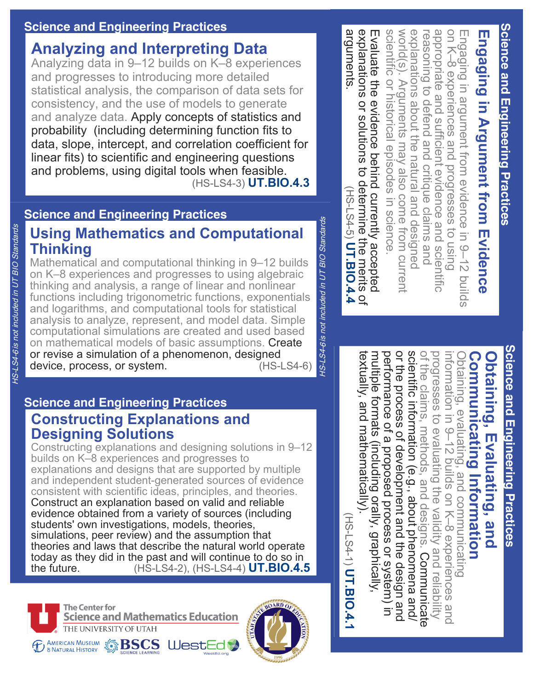#### **Science and Engineering Practices**

#### **Analyzing and Interpreting Data**

Analyzing data in 9–12 builds on K–8 experiences and progresses to introducing more detailed statistical analysis, the comparison of data sets for consistency, and the use of models to generate and analyze data. Apply concepts of statistics and probability (including determining function fits to data, slope, intercept, and correlation coefficient for linear fits) to scientific and engineering questions and problems, using digital tools when feasible. (HSLS43) **UT.BIO.4.3**

#### **Science and Engineering Practices**

#### **Using Mathematics and Computational Thinking**

Mathematical and computational thinking in 9–12 builds on K–8 experiences and progresses to using algebraic thinking and analysis, a range of linear and nonlinear functions including trigonometric functions, exponentials and logarithms, and computational tools for statistical analysis to analyze, represent, and model data. Simple computational simulations are created and used based on mathematical models of basic assumptions. Create or revise a simulation of a phenomenon, designed device, process, or system. (HS-LS4-6)

#### **Science and Engineering Practices Constructing Explanations and Designing Solutions**

Constructing explanations and designing solutions in 9–12 builds on K–8 experiences and progresses to explanations and designs that are supported by multiple and independent student-generated sources of evidence consistent with scientific ideas, principles, and theories. Construct an explanation based on valid and reliable evidence obtained from a variety of sources (including students' own investigations, models, theories, simulations, peer review) and the assumption that theories and laws that describe the natural world operate today as they did in the past and will continue to do so in the future. (HSLS42), (HSLS44) **UT.BIO.4.5**









Evaluate the evidence behind currently accepted<br>explanations or solutions to determine the merits scientific or historical episodes in science appropriate and sufficient evidence and scientific or world(s). Arguments may also come from current world(s). Arguments may also come from current explanations about the natural and designed explanations about the natural reasoning to defend and critique claims and appropriate and sufficient evidence and scientific on K–8 experiences and Evaluate the evidence behind currently accepted on K-8 experiences and progresses Engaging in argument from evidence in 9–12 build Engaging in argument from evidence in 9–12 builds casoning to historical episodes in science. defend and critique claims and solutions to determine the merits of progresses to using and designed to using scientific

explanations or

arguments.

arguments

(HSLS45)

**UT.BIO.4.4**

 $\overline{O}$ 

(HS-LS4-5) UT.BIO.4.4

HS-LS4-6 is not included in UT BIO Standards

S-LS4-6 is not included in UT BIO Standards

Science and Engineering Practices **Science and Engineering Practices**

### **Obtaining, Evaluating, and Dbtaining,** Evaluating, and Information **Information**

or the process of development and the design and scientific information (e.g., about phenomena and/ progresses to evaluating the validity and reliability<br>of the claims, methods, and designs. Communicate Obtaining, evaluating, and communicating<br>information in 9–12 builds on K–8 experiences and textually, and mathematically). multiple formats (including orally, performance of a proposed process or system) in performance of a scientific information (e.g., about phenomena and/ progresses to evaluating the validity and reliability information in 9–12 builds on K–8 Obtaining, evaluating, and communicating **Communicating** textually, and mathematically, multiple formats (including orally, graphically **Communicating** the process of development and the design and claims, methods, and designs. proposed process or system) in graphically, experiences and Communicate

(HS-LS4-1) UT.BIO.4.1 (HSLS41)

**UT.BIO.4.1**

HS-LS4-6 is not included in UT BIO Standards

HS-LS4-6 is not included in UT BIO Standards

**Engaging in Argument from Evidence**

Engaging in Argument from Evidence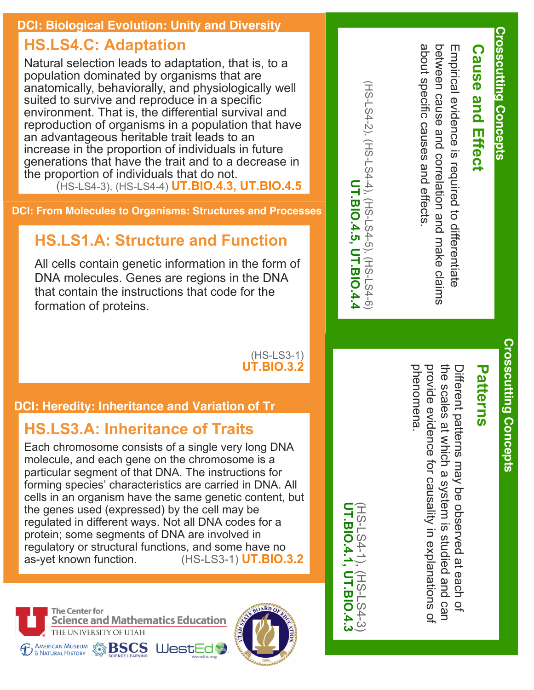#### **DCI: Biological Evolution: Unity and Diversity**

#### **HS.LS4.C: Adaptation**

Natural selection leads to adaptation, that is, to a population dominated by organisms that are anatomically, behaviorally, and physiologically well suited to survive and reproduce in a specific environment. That is, the differential survival and reproduction of organisms in a population that have an advantageous heritable trait leads to an increase in the proportion of individuals in future generations that have the trait and to a decrease in the proportion of individuals that do not.

(HSLS43), (HSLS44) **UT.BIO.4.3, UT.BIO.4.5**

**DCI: From Molecules to Organisms: Structures and Processes**

#### **HS.LS1.A: Structure and Function**

All cells contain genetic information in the form of DNA molecules. Genes are regions in the DNA that contain the instructions that code for the formation of proteins.

> $(HS-LS3-1)$ **UT.BIO.3.2**

#### **DCI: Heredity: Inheritance and Variation of Tr**

#### **HS.LS3.A: Inheritance of Traits**

Each chromosome consists of a single very long DNA molecule, and each gene on the chromosome is a particular segment of that DNA. The instructions for forming species' characteristics are carried in DNA. All cells in an organism have the same genetic content, but the genes used (expressed) by the cell may be regulated in different ways. Not all DNA codes for a protein; some segments of DNA are involved in regulatory or structural functions, and some have no as-yet known function. (HS-LS3-1) **UT.BIO.3.2** 

**The Center for Science and Mathematics Education** THE UNIVERSITY OF UTAH







(HS-LS4-2), (HS-LS4-4), (HS-LS4-5), (HS-LS4-6 (HSLS42), (HSLS44), (HSLS45), (HSLS46) **UT.BIO.4.5, UT.BIO.4.4** UT.BIO.4.5, UT.BIO.4.4

#### **Patterns Patterns**

provide evidence for causality in explanations of the scales at which a system is studied and can the scales at which a phenomena. provide evidence for causality in Different patterns may be observed at each Different patterns may be observed at each of system is studied and can explanations of  $\overline{Q}$ 

phenomena

**UT.BIO.4.1, UT.BIO.4.3** (HSLS41), (HSLS43)

, UT.BIO.4.3  $(15 - 154 - 3)$ 

UT.BIO.4.1  $(1-5S-1-SH)$  **Crosscutting Concepts Crosscutting Concepts** 

**Cause and Effect**

**Cause and Effect** 

between cause and

about specific causes and effects.

about specific causes and effects

Empirical evidence is required to differentiate

correlation and make claims

between cause and correlation and make claims Empirical evidence is required to differentiate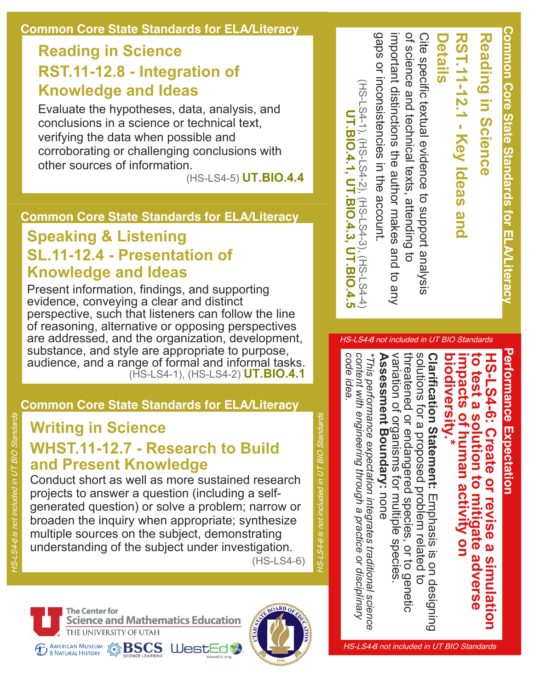#### **Reading in Science RST.11-12.8 - Integration of Knowledge and Ideas**

Evaluate the hypotheses, data, analysis, and conclusions in a science or technical text, verifying the data when possible and corroborating or challenging conclusions with other sources of information.

(HSLS45) **UT.BIO.4.4**

#### **Common Core State Standards for ELA/Literacy**

#### **Speaking & Listening SL.1112.4 Presentation of Knowledge and Ideas**

Present information, findings, and supporting evidence, conveying a clear and distinct perspective, such that listeners can follow the line of reasoning, alternative or opposing perspectives are addressed, and the organization, development, substance, and style are appropriate to purpose, audience, and a range of formal and informal tasks. (HSLS41), (HSLS42) **UT.BIO.4.1**

#### **Common Core State Standards for ELA/Literacy**

#### **Writing in Science WHST.1112.7 Research to Build and Present Knowledge**

Conduct short as well as more sustained research projects to answer a question (including a selfgenerated question) or solve a problem; narrow or broaden the inquiry when appropriate; synthesize multiple sources on the subject, demonstrating understanding of the subject under investigation.

 $(HS-LS4-6)$ 

**The Center for Science and Mathematics Education** THE UNIVERSITY OF UTAH



HS-LS4-6 is not included in UT BIO Standards

1S-LS4-6 is not included in UT BIO Standards





#### gaps or inconsistencies in the account. of science and technical texts, attending gaps or inconsistencies in the account. important distinctions the author makes of science and Cite specific textual evidence to support analysis Cite specific textual evidence to support analysis important distinctions the author makes and to any **Details** technical texts, attending to  $\overline{c}$ and to any

(HS-LS4-1), (HS-LS4-2), (HSLS41), (HSLS42), (HSLS43), (HSLS44) **UT.BIO.4.1, UT.BIO.4.3, UT.BIO.4.5** UT.BIO.4.1,  $\overline{\mathsf{L}}$ **BIO.4.3** (HS-LS4-3), (HS-LS4-4 **UT.BIO.4.5** 

> **Performance Expectation** erformance Expectation

**Common Core State Standards for ELA/Literacy**

Common Core State Standards for ELA/Literac

**RST.1112.1 Key Ideas and** 

- Key Ideas and

**RST.11-12.1** 

**Reading in Science**

**Reading in Science** 

#### **biodiversity.\* mitigate adverse impacts of human activity on to test a solution to HSLS46: DOIVe**  $\overline{\mathbf{S}}$ <u>၈</u> **Create Create or revise a simulation**  lution to unan o<br>R **SCTIV Hinita** revise date  $\overline{9}$ മ advel **Simulation GSJ**

**Assessment Boundary:**  variation of organisms for multiple species solutions for a proposed problem related Assessment Boundary: none variation of organisms for multiple species. threatened or endangered species, or to genetic threatened or endangered species, or to solutions for a **Clarification Statement:**  Iarification Statement: Emphasis is proposed problem related to Emphasis is on designing on designing  $\overline{c}$ 

HS-LS4-6 not included in UT BIO Standards

content with engineering through a practice or disciplinary code idea *code idea. content with* \*This performance expectation integrates traditional science *\*This performance expectation integrates traditional science engineering through a practice or disciplinary*

HS-LS4-6 is not included in UT BIO Standards

1S-LS4-6 is not included in UT BIO Standards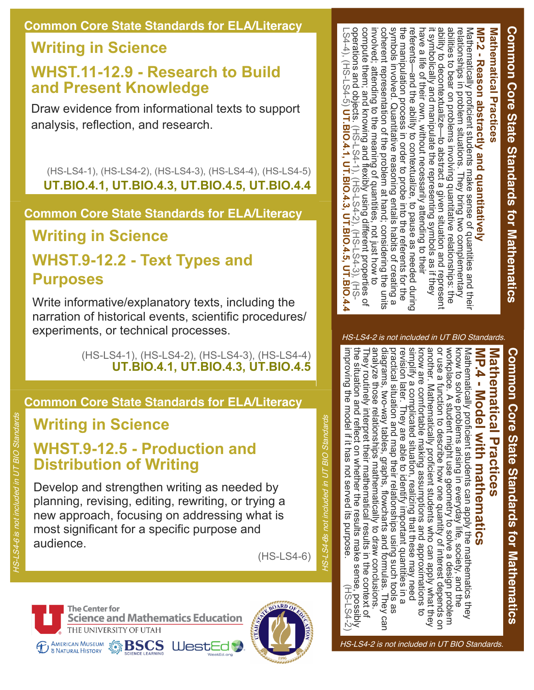#### **Common Core State Standards for ELA/Literacy**

#### **Writing in Science**

#### WHST.11-12.9 - Research to Build **and Present Knowledge**

Draw evidence from informational texts to support analysis, reflection, and research.

(HS-LS4-1), (HS-LS4-2), (HS-LS4-3), (HS-LS4-4), (HS-LS4-5) **UT.BIO.4.1, UT.BIO.4.3, UT.BIO.4.5, UT.BIO.4.4**

**Common Core State Standards for ELA/Literacy**

#### **Writing in Science**

#### WHST.9-12.2 - Text Types and **Purposes**

Write informative/explanatory texts, including the narration of historical events, scientific procedures/ experiments, or technical processes.

> (HSLS41), (HSLS42), (HSLS43), (HSLS44) **UT.BIO.4.1, UT.BIO.4.3, UT.BIO.4.5**

#### **Common Core State Standards for ELA/Literacy**

#### **Writing in Science**

#### WHST.9-12.5 - Production and **Distribution of Writing**

Develop and strengthen writing as needed by planning, revising, editing, rewriting, or trying a new approach, focusing on addressing what is most significant for a specific purpose and audience.

 $(HS-LS4-6)$ 

HS-LS4-6 is not included in UT BIO Standards

S-LS4-8s not included in UT BIO Standards





HS-LS4-6 is not included in UT BIO Standards

HS-LS4-6 is not included in UT BIO Standards





symbols involved. Quantitative reasoning entails habits of creating a<br>coherent representation of the problem at hand; considering the units operations and objects. (HS-LS4-1), (HS-LSoperations and objects. (HS-LS4-1), (HS-LS4-2), (HS-LS4-3), (HScompute them; and knowing and flexibly using different properties of compute them; and knowing and flexibly using different coherent representation of the problem at hand; symbols involved. Quantitative reasoning the manipulation process in order ability to decontextualize—to abstract a given situation and represent  $-54-4$ ), (HS-LS4-5) UT.BIO.4.1, UT.BIO.4.3, LS4-4), (HS-LS4-5) involved; attending to the meaning of quantities, not just how to involved; attending to the meaning of quantities, not the manipulation process in order to probe into the referents for the referents-and the ability to contextualize, to pause as needed during referents—and the ability to have a life of their own, without necessarily attending to their have a life of their own, it symbolically and manipulate the representing symbols as if they it symbolically relationships in problem situations. They bring two complementary<br>abilities to bear on problems involving quantitative relationships: the relationships in problem situations. They bring two complementary Mathematically proficient students make sense of quantities and the Mathematically MP.2 - Reason abstractly and quantitatively **MP.2 Reason abstractly and quantitatively** Mathematical Practices **Mathematical Practices** to bear on problems involving quantitative relationships: the decontextualize—to abstract a given situation and represent and manipulate the representing symbols as if they proficient students make sense of quantities and their **UT.BIO.4.1, UT.BIO.4.3, UT.BIO.4.5, UT.BIO.4.4** without necessarily attending to their contextualize, to pause as needed during to probe into the referents for the entails habits of creating a **UT.BIO.4.5, UT.BIO.4.4** considering the units **C-+S-1-SH)** just how to properties of  $\widehat{\exists}$ 

#### HS-LS4-2 is not included in UT BIO Standards.

**Mathematical Practices** lathematical Practices

### **MP.4 Model**  P.4 - Model with mathematics **with mathematics**

practical situation and map their relationships using such tools as<br>diagrams, two-way tables, graphs, flowcharts and formulas. They simplify a complicated situation, realizing that these may need another. Mathematically proficient students who can apply what they improving the model if it has not served its purpose They routinely interpret their mathematical results in the context of They routinely interpret their mathematical results in the context of the situation and reflect on whether the results make sense, possibly<br>the situatio analyze those relationships mathematically to draw conclusions revision later. They are able to identify important quantities in a know are comfortable making assumptions and approximations or use a function to describe how one quantity of interest depends or workplace. A student might use geometry to solve a design problem Mathematically proficient students can apply the mathematics they<br>know to solve problems arising in everyday life, society, and the improving the model if it has not served its purpose. the situation and reflect on whether the results make the situation and reflect on whether the results make sense, They routinely interpret their mathematical results in the analyze those relationships mathematically to draw diagrams, twoway tables, graphs, flowcharts and practical situation and map their relationships revision later. They are able to identify simplify a complicated situation, know are comfortable making another. Mathematically or use a function to workplace. A Mathematically proficient students can apply the mathematics they solve problems arising in everyday life, society, and the student might use geometry to solve a design problem describe how one quantity of interest depends on proficient students who can apply what they assumptions and approximations to realizing that these may need important quantities in a using such tools as formulas. They can conclusions. context of (HSLS42)  $\overline{c}$ Can

**Common Core State Standards for Mathematics**

**Common Core State Standards for Mathematics**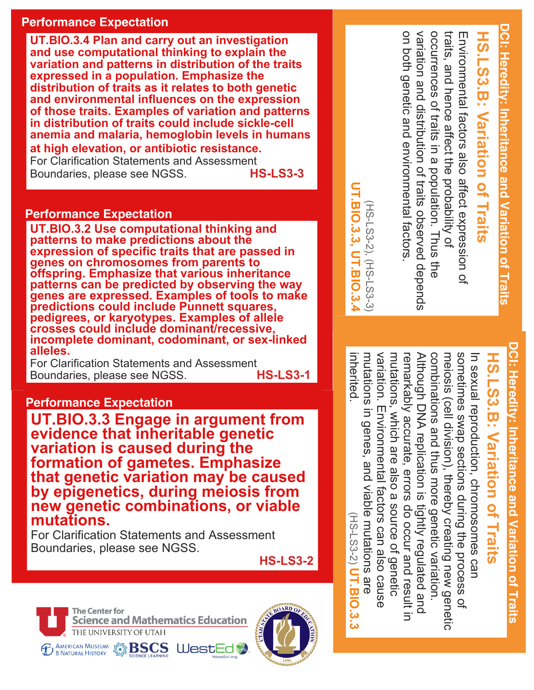#### **Performance Expectation**

**UT.BIO.3.4 Plan and carry out an investigation and use computational thinking to explain the variation and patterns in distribution of the traits expressed in a population. Emphasize the distribution of traits as it relates to both genetic and environmental influences on the expression of those traits. Examples of variation and patterns in distribution of traits could include sickle-cell anemia and malaria, hemoglobin levels in humans at high elevation, or antibiotic resistance.**

For Clarification Statements and Assessment<br>Boundaries, please see NGSS, **HS-LS3-3** Boundaries, please see NGSS.

#### **Performance Expectation**

**UT.BIO.3.2 Use computational thinking and patterns to make predictions about the expression of specific traits that are passed in genes on chromosomes from parents to offspring. Emphasize that various inheritance**  patterns can be predicted by observing the way **genes are expressed. Examples of tools to make predictions could include Punnett squares, pedigrees, or karyotypes. Examples of allele crosses could include dominant/recessive, incomplete dominant, codominant, or sex-linked alleles.**

For Clarification Statements and Assessment<br>Boundaries, please see NGSS. **HS-LS3-1** Boundaries, please see NGSS.

#### **Performance Expectation**

**UT.BIO.3.3 Engage in argument from evidence that inheritable genetic variation is caused during the formation of gametes. Emphasize that genetic variation may be caused by epigenetics, during meiosis from new genetic combinations, or viable mutations.**

For Clarification Statements and Assessment Boundaries, please see NGSS.

**HS-LS3-2**

**The Center for Science and Mathematics Education** THE UNIVERSITY OF UTAH



**SSCS** WestEd<sup>1</sup>



UT.BIO.3.3, **UT.BIO.3.3, UT.BIO.3.4** (HSLS32), (HSLS33) (HS-LS3-2), (HS-LS3-3 UT.BIO.3.4

inherited.

inherited

(HSLS32)

 $(HS-LS3-2)$  UT.BIO.3.3

**UT.BIO.3.3**

**DCI: Heredity: Inheritance and Variation of Traits** DCI: Heredity: Inheritance and Variation of Traits

# HS.LS3.B: Variation of Traits **HS.LS3.B: Variation of Traits**

sometimes swap sections during the process of mutations in genes, and viable mutations are variation. Environmental factors can also cause variation. Environmental factors can also cause Although DNA replication is tightly regulated and Although DNA combinations and thus more genetic variation. combinations and thus more genetic variation. meiosis (cell division), thereby creating new genetic sometimes swap sections In sexual reproduction, chromosomes can mutations in genes, mutations, which are also a source of genetic mutations, which are also a source of genetic remarkably accurate, errors do occur and result in remarkably accurate, errors do meiosis (cell division), thereby creating new In sexual reproduction, chromosomes can replication is tightly regulated and and viable mutations are during the process of occur and result in

# **DCI: Heredity: Inheritance and Variation of Traits** DCI: Heredity: Inheritance and Variation of Traits

**HS.LS3.B:** 

traits, and hence

on both genetic

**Variation of Traits**

raits

.B: Variation of T

Environmental factors also affect expression of

Environmental factors also affect expression of

affect the probability of

traits, and hence affect the probability of

variation and distribution of traits observed depends

variation and distribution of traits observed depends

and environmental factors.

on both genetic and environmental factors

occurrences of traits in a population. Thus the

occurrences of traits in a population. Thus the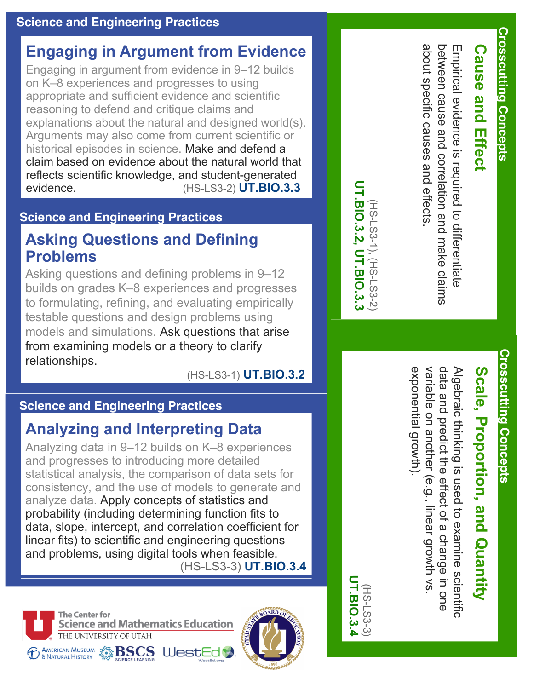#### **Science and Engineering Practices**

#### **Engaging in Argument from Evidence**

Engaging in argument from evidence in 9–12 builds on K–8 experiences and progresses to using appropriate and sufficient evidence and scientific reasoning to defend and critique claims and explanations about the natural and designed world(s). Arguments may also come from current scientific or historical episodes in science. Make and defend a claim based on evidence about the natural world that reflects scientific knowledge, and student-generated evidence. (HSLS32) **UT.BIO.3.3**

#### **Science and Engineering Practices**

#### **Asking Questions and Defining Problems**

Asking questions and defining problems in 9–12 builds on grades K–8 experiences and progresses to formulating, refining, and evaluating empirically testable questions and design problems using models and simulations. Ask questions that arise from examining models or a theory to clarify relationships.

#### (HSLS31) **UT.BIO.3.2**

#### **Science and Engineering Practices**

#### **Analyzing and Interpreting Data**

Analyzing data in 9–12 builds on K–8 experiences and progresses to introducing more detailed statistical analysis, the comparison of data sets for consistency, and the use of models to generate and analyze data. Apply concepts of statistics and probability (including determining function fits to data, slope, intercept, and correlation coefficient for linear fits) to scientific and engineering questions and problems, using digital tools when feasible. (HSLS3-3) **UT.BIO.3.4**

**The Center for Science and Mathematics Education** THE UNIVERSITY OF UTAH







#### UT.BIO.3.2, UT.BIO.3.3 **UT.BIO.3.2, UT.BIO.3.3** (HSLS31), (HSLS32) (HS-LS3-1), (HS-LS3-2

(HSLS33) **UT.BIO.3.4**

UT.BIO.3.4  $(112 - 23 - 3)$ 

### **Crosscutting Concepts Crosscutting Concepts**

**Cause and Effect** 

between cause and

about specific causes and effects.

about specific causes and effects.

Empirical evidence is required to differentiate

correlation and make claims

between cause and correlation and make claims Empirical evidence is required to differentiate

# **Cause and Effect**

**Crosscutting Concepts**

**Crosscutting Concepts** 

Scale, Proportion, and Quantity **Scale, Proportion, and Quantity**

data and predict the effect of a change in one exponential growth) exponential growth). variable on another (e.g., linear growth vs variable on another (e.g., linear growth vs. data and predict the Algebraic thinking is used to examine scientific Algebraic thinking is used to examine scientific effect of a change in one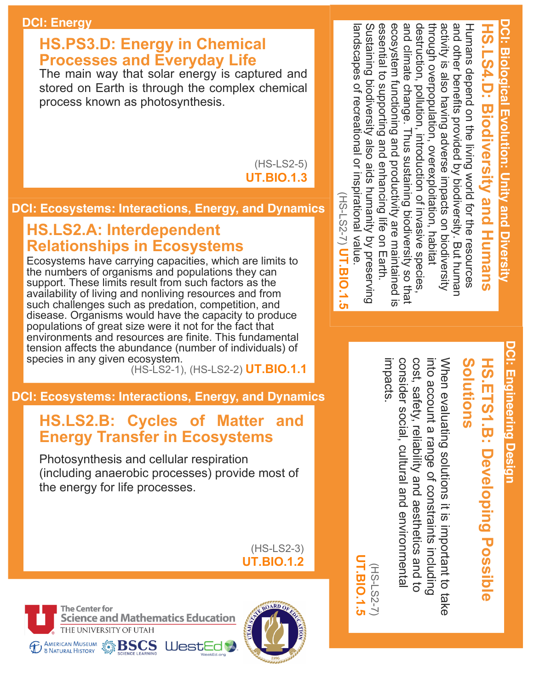#### **DCI: Energy**

#### **HS.PS3.D: Energy in Chemical Processes and Everyday Life**

The main way that solar energy is captured and stored on Earth is through the complex chemical process known as photosynthesis.

> (HS-LS2-5) **UT.BIO.1.3**

#### **DCI: Ecosystems: Interactions, Energy, and Dynamics**

#### **HS.LS2.A: Interdependent Relationships in Ecosystems**

Ecosystems have carrying capacities, which are limits to the numbers of organisms and populations they can support. These limits result from such factors as the availability of living and nonliving resources and from such challenges such as predation, competition, and disease. Organisms would have the capacity to produce populations of great size were it not for the fact that environments and resources are finite. This fundamental tension affects the abundance (number of individuals) of species in any given ecosystem.

(HSLS21), (HSLS22) **UT.BIO.1.1**

#### **DCI: Ecosystems: Interactions, Energy, and Dynamics**

#### **HS.LS2.B: Cycles of Matter and Energy Transfer in Ecosystems**

Photosynthesis and cellular respiration (including anaerobic processes) provide most of the energy for life processes.

> (HSLS23) **UT.BIO.1.2**





**West** 



essential to supporting and enhancing life on Earth.<br>Sustaining biodiversity also aids humanity by preserving ecosystem functioning and productivity are maintained is and climate change. Thus sustaining biodiversity so that destruction, pollution, introduction of invasive species activity is also having adverse impacts on biodiversity and other benefits provided by biodiversity. But human through overpopulation, landscapes of recreational or inspirational value landscapes of essential to supporting and enhancing life on Earth. ecosystem functioning and productivity are maintained is and climate change. Thus sustaining biodiversity destruction, pollution, introduction of through overpopulation, overexploitation, habitat activity is also having and other Humans depend on the living world for the resources Humans depend on the living world for the resources **HS.LS4.D:**  benefits provided by biodiversity. But human biodiversity also aids humanity by preserving **Signal Humans**<br> **Signal Humans** recreational or inspirational value. **Biodiversity and Humans** adverse impacts on biodiversity overexploitation, habitat (HS-LS2-7) UT.BIO.1.5 (HSLS27) invasive species, **UT.BIO.1.5**

# **DCI: Engineering Design DCI: Engineering Des**

**DCI: Biological Evolution: Unity and Diversity**

DCI: Biological Evolution: Unity and Diversity

### **Solutions HS.ETS1.B: Developing Possible**  HS.ETS1.B: Developing Possible **SUQUIDIS**

consider social, cultural and environmental cost, safety, reliability and aesthetics and to cost, safety, reliability and aesthetics and to When evaluating solutions it is important to take impacts. consider social, cultural and environmenta into account a range of constraints including into account a range When evaluating solutions it is important to take of constraints including

UT.BIO.1.5 **UT.BIO.1.5** $L$ -7S $-1$ -SH) (HSLS27)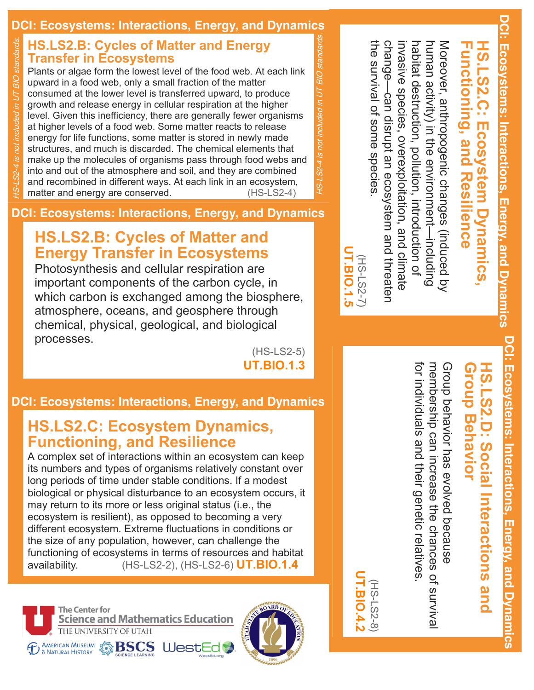#### **DCI: Ecosystems: Interactions, Energy, and Dynamics**

#### **HS.LS2.B: Cycles of Matter and Energy Transfer in Ecosystems**

Plants or algae form the lowest level of the food web. At each link upward in a food web, only a small fraction of the matter consumed at the lower level is transferred upward, to produce growth and release energy in cellular respiration at the higher level. Given this inefficiency, there are generally fewer organisms at higher levels of a food web. Some matter reacts to release energy for life functions, some matter is stored in newly made structures, and much is discarded. The chemical elements that make up the molecules of organisms pass through food webs and into and out of the atmosphere and soil, and they are combined and recombined in different ways. At each link in an ecosystem, matter and energy are conserved. (HS-LS2-4)

**DCI: Ecosystems: Interactions, Energy, and Dynamics**

#### **HS.LS2.B: Cycles of Matter and Energy Transfer in Ecosystems**

Photosynthesis and cellular respiration are important components of the carbon cycle, in which carbon is exchanged among the biosphere, atmosphere, oceans, and geosphere through chemical, physical, geological, and biological processes.

(HSLS25) **UT.BIO.1.3**

#### **DCI: Ecosystems: Interactions, Energy, and Dynamics**

#### **HS.LS2.C: Ecosystem Dynamics, Functioning, and Resilience**

A complex set of interactions within an ecosystem can keep its numbers and types of organisms relatively constant over long periods of time under stable conditions. If a modest biological or physical disturbance to an ecosystem occurs, it may return to its more or less original status (i.e., the ecosystem is resilient), as opposed to becoming a very different ecosystem. Extreme fluctuations in conditions or the size of any population, however, can challenge the functioning of ecosystems in terms of resources and habitat availability. (HS-LS2-2), (HS-LS2-6) **UT.BIO.1.4** 





HS-LS2-4 is not included in UT BIO standards.

HS-LS2-4 is not included in UT BIO standards





**UT.BIO.4.2** UT.BIO.4.2 (HSLS28)  $(S-2S-3-8)$ 



HS-LS2-4 is not included in UT BIO standards.

 $.52-4.$ 

included in

UT BIO



### **Functioning, HS.LS2.C: Ecosystem Dynamics,**  unctioning, and Resilience **Ecosystem Dynamics and Resilience**

**Group**

**Behavior**

**Benavio** 

membership can increase the

membership can increase the chances of surviva

for individuals and their genetic relatives.

for individuals and their genetic relatives

chances of survival

Group behavior has evolved because

Group behavior has evolved because

the survival of some species the survival of some species. change—can disrupt an ecosystem and threaten change—can disrupt invasive species, overexploitation, and climate invasive species, overexploitation, and climate habitat destruction, pollution, introduction of habitat destruction, pollution, introduction of human activity) in the environment—including human activity) in the Moreover, anthropogenic changes (induced by Moreover, anthropogenic changes (induced by an ecosystem and threaten environment—including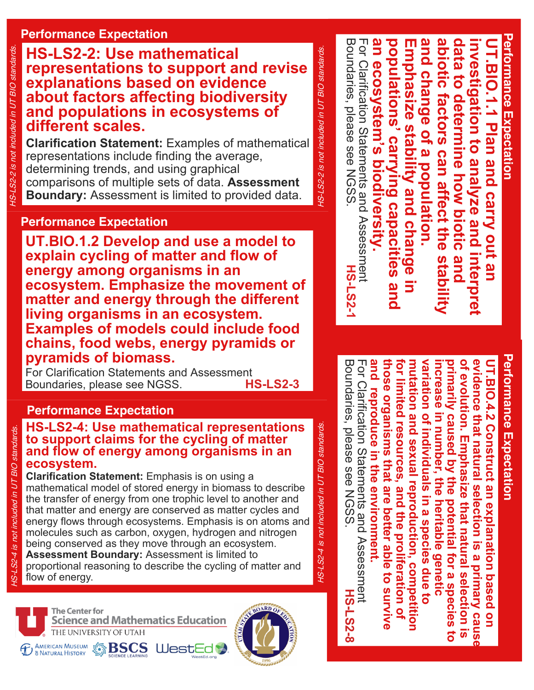#### **Performance Expectation**

#### **HSLS22: Use mathematical representations to support and revise explanations based on evidence about factors affecting biodiversity and populations in ecosystems of different scales.**

IS-LS2-2 is not included in UT BIO standards. **Clarification Statement:** Examples of mathematical representations include finding the average, determining trends, and using graphical comparisons of multiple sets of data. **Assessment Boundary:** Assessment is limited to provided data.

#### **Performance Expectation**

**UT.BIO.1.2 Develop and use a model to explain cycling of matter and flow of energy among organisms in an ecosystem. Emphasize the movement of matter and energy through the different living organisms in an ecosystem. Examples of models could include food chains, food webs, energy pyramids or pyramids of biomass.**

For Clarification Statements and Assessment<br>Boundaries, please see NGSS. **HS-LS2-3** Boundaries, please see NGSS.

#### **Performance Expectation**

#### **HSLS24: Use mathematical representations to support claims for the cycling of matter and flow of energy among organisms in an ecosystem.**

**Clarification Statement:** Emphasis is on using a mathematical model of stored energy in biomass to describe the transfer of energy from one trophic level to another and that matter and energy are conserved as matter cycles and energy flows through ecosystems. Emphasis is on atoms and molecules such as carbon, oxygen, hydrogen and nitrogen being conserved as they move through an ecosystem. **Assessment Boundary:** Assessment is limited to proportional reasoning to describe the cycling of matter and flow of energy.

**The Center for Science and Mathematics Education** THE UNIVERSITY OF UTAH



HS-LS2-4 is not included in UT BIO standards.

IS-LS2-4 is not included in UT BIO standards.





HS-LS2-4 is not included in UT BIO standards.

HS-LS2-4 is not included in UT BIO standards.

**Performance Expectation** Boundaries, please see For Clarification Statements and Assessment **an ecosystem's biodiversity.**  and change of a population. **and change of a population. abiotic factors can affect the stability**  abiotic factors Boundaries, please see NGSS. For Clarification Statements and Assessment **populations' carrying capacities and Emphasize stability and change in data to determine how biotic and investigation to analyze and interpret UT.BIO.1.1 Plan and carry out an**  erformance Expectation populations lata to determine how biotic nvestigation to analyze and interp mphasize stability and change ecosystem's '.BIO.1.1 Plan and carry **Carrying capacities** can affect the **NGSS** iodiversity  **HS-LS2-1** out an sndd **Stabili HS-LS2**and

# **Performance Expectation Performance Expectatior**

**those organisms that are better able to survive for limited resources, and the proliferation of variation of individuals in a species due to evidence that natural selection is a primary cause**  Boundaries, Boundaries, please see NGSS. For Clarification Statements and Assessment For Clarification Statements and Assessment and reproduce in the environment **and reproduce in the environment. mutation and sexual reproduction, competition increase in number, the heritable genetic primarily caused by the potential for a species to of evolution. Emphasize that natural selection is**  evidence **UT.BIO.4.2 Construct an explanation based on**  those organisms that mutation and sexual reproduction, variation of individuals in a species due to for limited resources ncrease rimarily caused by the potential for a species T.BIO.4.2 evolution. Emphasize in number, the heritable genetic that natural selection is Construct an explanation based please see are better able to survive and the proliferation of **NGSS** that natural a primary competitio I selection is **HS-LS2-8 HS-LS2-8**  $\frac{1}{2}$ caus  $\vec{a}$ 

HS-LS2-2 is not included in UT BIO standards.

HS-LS2-2 is not included in UT BIO standards. HS-LS2-2 is not included in UT BIO standards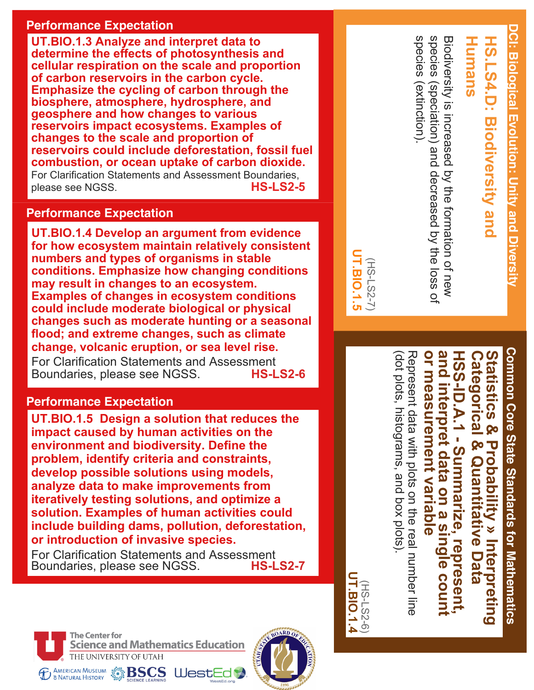#### **Performance Expectation**

**UT.BIO.1.3 Analyze and interpret data to determine the effects of photosynthesis and cellular respiration on the scale and proportion of carbon reservoirs in the carbon cycle. Emphasize the cycling of carbon through the biosphere, atmosphere, hydrosphere, and geosphere and how changes to various reservoirs impact ecosystems. Examples of changes to the scale and proportion of reservoirs could include deforestation, fossil fuel combustion, or ocean uptake of carbon dioxide.** For Clarification Statements and Assessment Boundaries,<br>Dease see NGSS<br>**HS-LS2-5** please see NGSS.

#### **Performance Expectation**

**UT.BIO.1.4 Develop an argument from evidence for how ecosystem maintain relatively consistent numbers and types of organisms in stable conditions. Emphasize how changing conditions may result in changes to an ecosystem. Examples of changes in ecosystem conditions could include moderate biological or physical changes such as moderate hunting or a seasonal flood; and extreme changes, such as climate change, volcanic eruption, or sea level rise.**

For Clarification Statements and Assessment<br>Boundaries, please see NGSS, Andrea Langle 1982-6 Boundaries, please see NGSS.

#### **Performance Expectation**

**UT.BIO.1.5 Design a solution that reduces the impact caused by human activities on the environment and biodiversity. Define the problem, identify criteria and constraints, develop possible solutions using models, analyze data to make improvements from iteratively testing solutions, and optimize a solution. Examples of human activities could include building dams, pollution, deforestation, or introduction of invasive species.** 

For Clarification Statements and Assessment<br>Boundaries, please see NGSS, **HS-LS2-7** Boundaries, please see NGSS.





(HSLS27) (HS-LS2-7

**UT.BIO.1.5**

JT.BIO.1.5

species (speciation)

species (extinction).

species (extinction)

**Humans**

**Iumans** 

Biodiversity is increased by the formation of new

by the formation of new

Biodiversity is increased

and decreased by the loss of

species (speciation) and decreased by the loss of

**Common Core State Standards for Mathematics** Common Core State Standards for Mathematics

or measurement variable and interpret data on a single count HSS-ID.A.1 - Summarize, represent **Categorica Statistics or measurement variable and interpret data on a HSSID.A.1 Summarize, represent, single count Categorical & Statistics & Probability » Interpreting**  & Quantitátive Data **Probability » Interpreting Quantitative Data**

(dot plots, histograms, and box plots) Represent data with plots on the real number line (dot plots, histograms, Represent data with plots on the real number line and box plots).

(HSLS26) **UT.BIO.1.4**

UT.BIO.1.4  $(HS - I_SZ - 6)$ 

**DCI: Biological Evolution: Unity and Diversity** DCI: Biological Evolution: Unity and Diversity **HS.LS4.D: Biodiversity and**  HS.LS4.D: Biodiversity and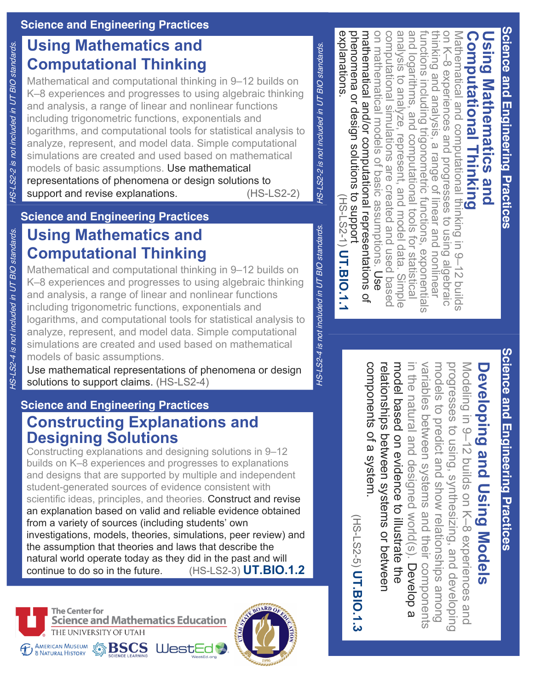#### **Using Mathematics and Computational Thinking**

Mathematical and computational thinking in 9–12 builds on K–8 experiences and progresses to using algebraic thinking and analysis, a range of linear and nonlinear functions including trigonometric functions, exponentials and logarithms, and computational tools for statistical analysis to analyze, represent, and model data. Simple computational simulations are created and used based on mathematical models of basic assumptions. Use mathematical representations of phenomena or design solutions to support and revise explanations. (HS-LS2-2)

**Science and Engineering Practices**

#### **Using Mathematics and Computational Thinking**

Mathematical and computational thinking in 9–12 builds on K–8 experiences and progresses to using algebraic thinking and analysis, a range of linear and nonlinear functions including trigonometric functions, exponentials and logarithms, and computational tools for statistical analysis to analyze, represent, and model data. Simple computational simulations are created and used based on mathematical models of basic assumptions.

Use mathematical representations of phenomena or design solutions to support claims. (HS-LS2-4)

#### **Science and Engineering Practices**

#### **Constructing Explanations and Designing Solutions**

Constructing explanations and designing solutions in 9–12 builds on K–8 experiences and progresses to explanations and designs that are supported by multiple and independent student-generated sources of evidence consistent with scientific ideas, principles, and theories. Construct and revise an explanation based on valid and reliable evidence obtained from a variety of sources (including students' own investigations, models, theories, simulations, peer review) and the assumption that theories and laws that describe the natural world operate today as they did in the past and will continue to do so in the future. (HS-LS2-3) **UT.BIO.1.2** 

**The Center for Science and Mathematics Education** THE UNIVERSITY OF UTAH



WestEd<sup>\*</sup>



#### Science and Engineering Practices **Science and Engineering Practices** computational simulations are created analysis to analyze, thinking and analysis, a range of linear and thinking and analysis, a range of linear on K–8 experiences **Computational Thinking Using Mathematics and Computational Thinking** <u>Using Mathematics and</u>

explanations explanations. phenomena or design solutions to support mathematical and/or computational representations of on mathematical models of basic assumptions. computational simulations are created and used based<br>on mathematical models of basic assumptions. Use analysis to analyze, represent, and model data. Simple functions including trigonometric functions, exponentials<br>and logarithms, and computational tools for statistical functions including trigonometric functions, exponentials phenomena or design solutions to support mathematical and/or computational representations of on K-8 experiences and progresses to using algebraic Mathematical and computational thinking in 9–12 builds Mathematical and computational thinking in 9–12 builds logarithms, and computational tools for statistical represent, and model data. Simple and progresses to using algebraic (HS-LS2-1) UT.BIO.1.7 (HSLS21) and used based and nonlinear nonlinear **UT.BIO.1.1**

HS-LS2-2 is not included in UT BIO standards.

HS-LS2-2 is not included in UT BIO standards.

HS-LS2-4 is not included in UT BIO standards.

HS-LS2-4 is not included in UT BIO standards.

# **Science and Engineering Practices Science and Engineering Practices**

# **Developing and Using Models Developing and Using Models**

components of a system components of a system. relationships between systems or between relationships model pased on exidence to lilicate the in the natural and designed world(s). Develop a variables between systems and their components variables between systems and their components models to predict and show relationships among progresses to using, synthesizing, and developing Modeling in 9-12 builds on K-8 experiences and model based on evidence to illustrate the in the natural and models to predict and show relationships progresses to using, Modeling in 9–12 builds on K–8 experiences and between systems or between designed world(s). synthesizing, and developing Develop a

 $(HS-LSS-5)$  UT.BIO.1.3 (HSLS25) **UT.BIO.1.3**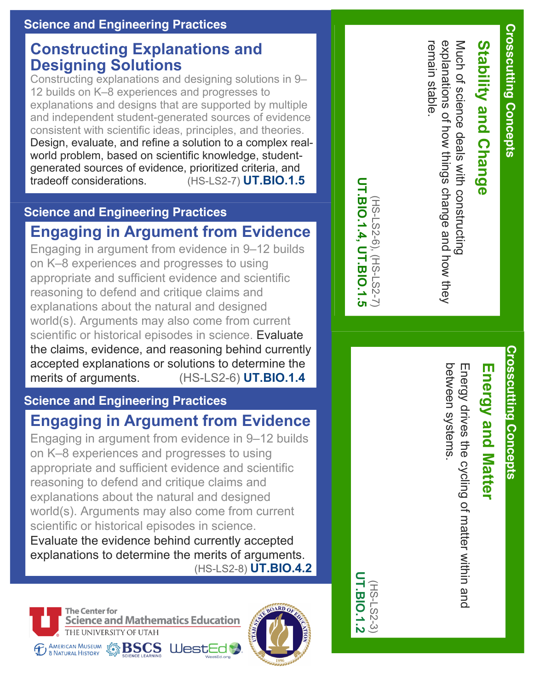#### **Constructing Explanations and Designing Solutions**

Constructing explanations and designing solutions in 9– 12 builds on K–8 experiences and progresses to explanations and designs that are supported by multiple and independent student-generated sources of evidence consistent with scientific ideas, principles, and theories. Design, evaluate, and refine a solution to a complex realworld problem, based on scientific knowledge, studentgenerated sources of evidence, prioritized criteria, and tradeoff considerations. (HSLS27) **UT.BIO.1.5**

#### **Science and Engineering Practices**

#### **Engaging in Argument from Evidence**

Engaging in argument from evidence in 9–12 builds on K–8 experiences and progresses to using appropriate and sufficient evidence and scientific reasoning to defend and critique claims and explanations about the natural and designed world(s). Arguments may also come from current scientific or historical episodes in science. Evaluate the claims, evidence, and reasoning behind currently accepted explanations or solutions to determine the merits of arguments. **(HS-LS2-6)** UT.BIO.1.4

#### **Science and Engineering Practices**

#### **Engaging in Argument from Evidence**

Engaging in argument from evidence in 9–12 builds on K–8 experiences and progresses to using appropriate and sufficient evidence and scientific reasoning to defend and critique claims and explanations about the natural and designed world(s). Arguments may also come from current scientific or historical episodes in science. Evaluate the evidence behind currently accepted explanations to determine the merits of arguments.

(HSLS28) **UT.BIO.4.2**

**The Center for Science and Mathematics Education** THE UNIVERSITY OF UTAH







**UT.BIO.1.4, UT.BIO.1.5 UT.BIO.1.4, UT.BIO.1.5**(HS-LS2-6), (HS-LS2-7) (HSLS26), (HSLS27)

> (HSLS23) **UT.BIO.1.2**

**UT.BIO.1.2**  $(HS-LS2-3)$  explanations of how things

explanations of how things change and how they

remain stable.

remain stable

change and how they

Much of science deals with constructing

Much of science deals with constructing

**Stability and Change**

**Stability and Change** 

#### **Crosscutting Concepts Crosscutting Concepts Energy and Matter Energy and Matter**

between systems Energy drives the cycling of matter within and between systems. Energy drives the cycling of matter within and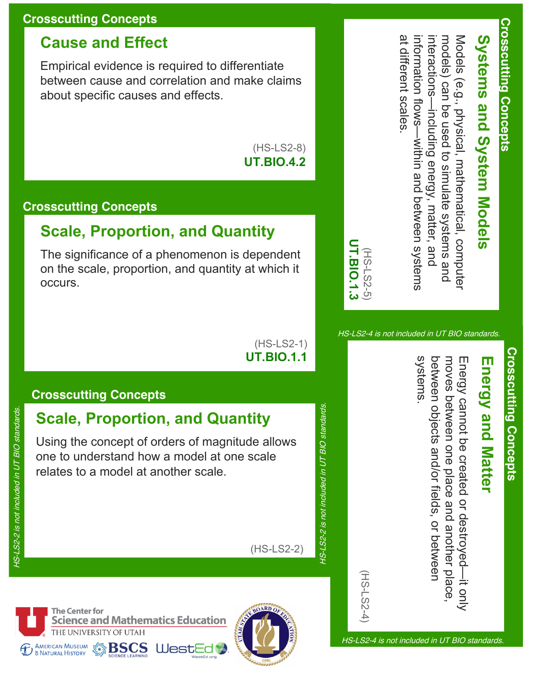#### **Crosscutting Concepts**

#### **Cause and Effect**

Empirical evidence is required to differentiate between cause and correlation and make claims about specific causes and effects.

> $(HS-LS2-8)$ **UT.BIO.4.2**

 $(HS-LS2-1)$ **UT.BIO.1.1**

#### **Crosscutting Concepts**

**Crosscutting Concepts**

HS-LS2-2 is not included in UT BIO standards.

2 is not included in UT BIO standards.

#### **Scale, Proportion, and Quantity**

**Scale, Proportion, and Quantity**

one to understand how a model at one scale

relates to a model at another scale.

Using the concept of orders of magnitude allows

The significance of a phenomenon is dependent on the scale, proportion, and quantity at which it occurs.

| $\overline{\mathbf{u}}$ |  |
|-------------------------|--|
|                         |  |
|                         |  |
|                         |  |
|                         |  |

HS-LS2-4 is not included in UT BIO standards.

### **Crosscutting Concepts Crosscutting Concepts**

## **Energy and Matter** nergy and Matter

 $\overline{\mathbf{u}}$ 

systems. between objects and/or fields, or between between objects and/or fields, or between moves between one place and another place, moves between one Energy cannot be created or destroyed—it only Energy cannot be created or destroyed—it only place and another place,

HS-LS2-2 is not included in UT BIO standards. HS-LS2-2 is not included in UT BIO standards

(HSLS24)

7-7S1-SH





 $(HS-LS2-2)$ 

**Systems and System Models**

**Systems and System Models** 

models) can be used

models) can

at different scales.

at different scales

information flows—within and between systems

information flows—within and between systems

interactions—including energy, matter, and

interactions—including energy, matter, and

Models (e.g., physical, mathematical, computer

Models (e.g., physical, mathematical, compute

to simulate systems and

be used to simulate systems and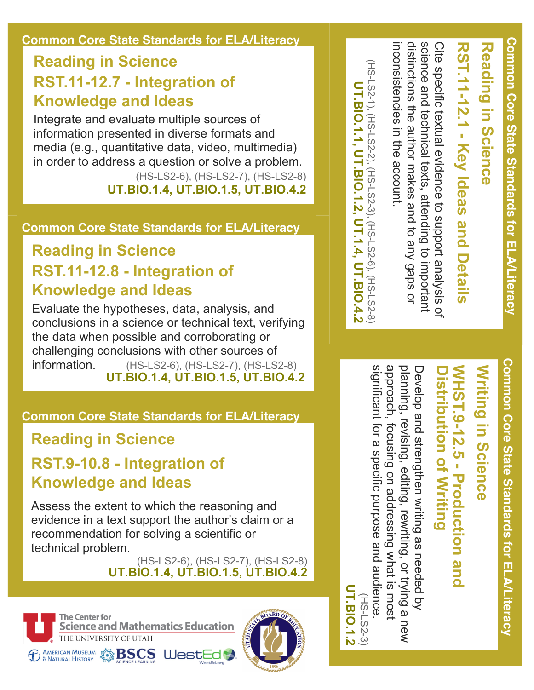#### **Common Core State Standards for ELA/Literacy**

#### **Reading in Science RST.1112.7 Integration of Knowledge and Ideas**

Integrate and evaluate multiple sources of information presented in diverse formats and media (e.g., quantitative data, video, multimedia) in order to address a question or solve a problem. (HSLS26), (HSLS27), (HSLS28) **UT.BIO.1.4, UT.BIO.1.5, UT.BIO.4.2**

#### **Common Core State Standards for ELA/Literacy**

#### **Reading in Science RST.1112.8 Integration of Knowledge and Ideas**

Evaluate the hypotheses, data, analysis, and conclusions in a science or technical text, verifying the data when possible and corroborating or challenging conclusions with other sources of information. (HS-LS2-6), (HS-LS2-7), (HS-LS2-8) **UT.BIO.1.4, UT.BIO.1.5, UT.BIO.4.2**

**Common Core State Standards for ELA/Literacy**

#### **Reading in Science**

#### **RST.910.8 Integration of Knowledge and Ideas**

Assess the extent to which the reasoning and evidence in a text support the author's claim or a recommendation for solving a scientific or technical problem.

(HSLS26), (HSLS27), (HSLS28) **UT.BIO.1.4, UT.BIO.1.5, UT.BIO.4.2**



(HS-LS2-1), (HS-LS2-2), (HS-LS2-6), (HS-LS2-6), (HS-LS2-8)<br>UT.BIO.1.1, UT.BIO.1.2, UT.14, UT.BIO.4.2 **UT.BIO.1.1, UT.BIO.1.2, UT.1.4, UT.BIO.4.2**

distinctions the author makes and to any gaps or inconsistencies in the account inconsistencies in the account. distinctions the author makes and to any gaps or

science and

**RST.1112.1 Key Ideas and Details**

T.11-12.1 - Key ldeas and Details

て<br>の

Cite specific textual evidence to support analysis of

Cite specific textual evidence to support analysis of<br>science and technical texts, attending to important

technical texts, attending to important

**Reading in Science**

**Reading in Science** 

**Common Core State Standards for ELA/Literacy**

Common Core State Standards for ELA/Literac

(HSLS21), (HSLS22), (HSLS23), (HSLS26), (HSLS28)

**Common Core State Standards for ELA/Literacy** Common Core State Standards for ELA/Literacy

### riting in Science **in Science**

#### **WHST.912.5 Production and Distribution NHST:0-12.5 - Production** <u>Q</u> **Writing and**

significant for a specific purpose and audience significant for a specific purpose and audience. approach, focusing on addressing what is most approach, focusing on addressing planning, Develop and strengthen writing Develop and strengthen writing as needed by revising, editing, rewriting, or trying a new as needed what is most or trying a  $\overline{Q}$ new

UT.BIO.1.2  $(HS-<sub>2</sub> - 3)$ (HSLS23)

**UT.BIO.1.2**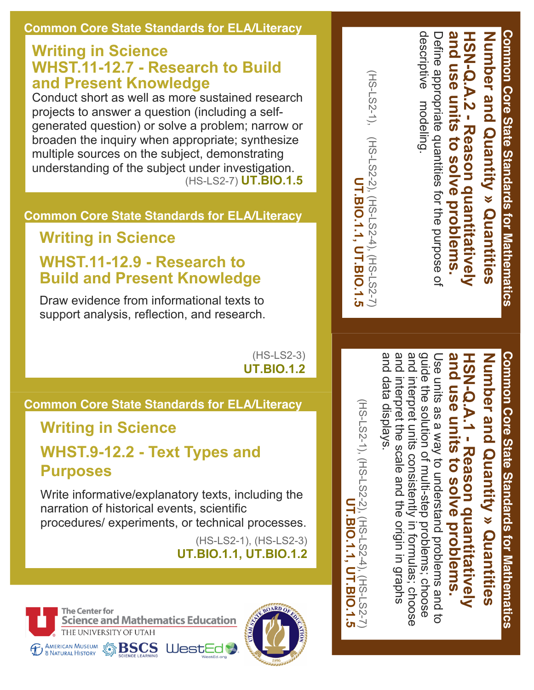#### **Common Core State Standards for ELA/Literacy**

#### **Writing in Science** WHST.11-12.7 - Research to Build **and Present Knowledge**

Conduct short as well as more sustained research projects to answer a question (including a selfgenerated question) or solve a problem; narrow or broaden the inquiry when appropriate; synthesize multiple sources on the subject, demonstrating understanding of the subject under investigation. (HSLS27) **UT.BIO.1.5**

#### **Common Core State Standards for ELA/Literacy**

**Writing in Science**

#### **WHST.1112.9 Research to Build and Present Knowledge**

Draw evidence from informational texts to support analysis, reflection, and research.

> $(HS-LS2-3)$ **UT.BIO.1.2**

**Common Core State Standards for ELA/Literacy**

**Writing in Science**

**WHST.9-12.2 - Text Types and Purposes**

Write informative/explanatory texts, including the narration of historical events, scientific procedures/ experiments, or technical processes.

> (HS-LS2-1), (HS-LS2-3) **UT.BIO.1.1, UT.BIO.1.2**









(HS-LS2-1), (HSLS21), (HSLS22), (HSLS24), (HSLS27) UT.BIO.11, UT.BIO.1.5 **UT.BIO.1.1, UT.BIO.1.5**

> Common Core State Standards for Mathematics **Common Core State Standards for Mathematics**

**Number and Quantity » Quantities** Number and Quantity » Quantities

### **and HSNQ.A.1 Reason quantitatively ISN-Q.A.1 use units to solve** units to solve problems. - Reason quantitatively **problems.**

and and and guide the solution of multi-step problems; choose<br>and interpret units consistently in formulas; choose and data displays. and interpret the scale and the origin in graphs and interpret units consistently in formulas; guide the solution of Use units as a way to understand problems and to and use Use units as a way to understand problems and to data displays interpret the scale and the origin in graphs multistep problems; choose

(HS-LS2-1), (HS-LS2-2), (HS-LS2-4), (HS-LS2-7 (HSLS21), (HSLS22), (HSLS24), (HSLS27) **UT.BIO.1.1, UT.BIO.1.5** UT.BIO.1.1, UT.BIO.1.5

Common Core State Standards for Mathematics **Common Core State Standards for Mathematics and HSNQ.A.2 Reason quantitatively Number and Quantity » Quantities** Number and Quantity » Quantities HSN-Q.A.2 - Reason quantitatively

**use units to solve**

and use

Define appropriate quantities for the purpose of

Define appropriate quantities for the purpose of

descriptive modeling.

modeling

descriptive

**problems.**

units to solve problems.

(HS-LS2-2), (HS-LS2-4), (HS-LS2-7)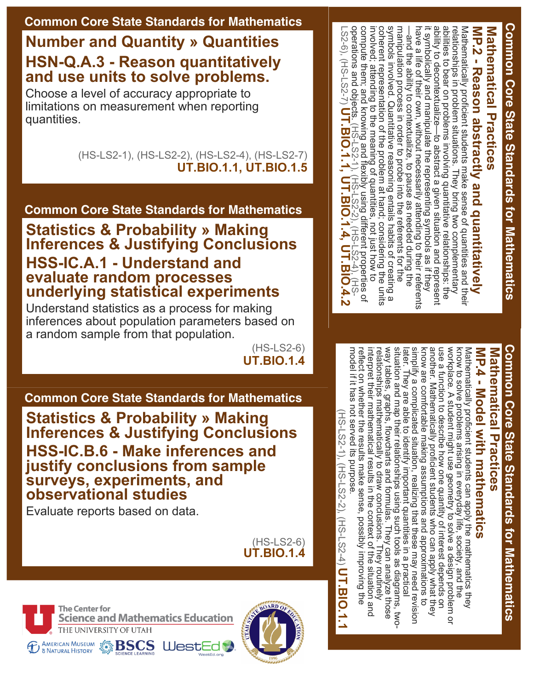**Common Core State Standards for Mathematics**

#### **Number and Quantity » Quantities HSN-Q.A.3 - Reason quantitatively and use units to solve problems.**

Choose a level of accuracy appropriate to limitations on measurement when reporting quantities.

#### (HSLS21), (HSLS22), (HSLS24), (HSLS27) **UT.BIO.1.1, UT.BIO.1.5**

**Common Core State Standards for Mathematics**

#### **Statistics & Probability » Making Inferences & Justifying Conclusions HSSIC.A.1 Understand and evaluate random processes underlying statistical experiments**

Understand statistics as a process for making inferences about population parameters based on a random sample from that population.

 $(HS-LS2-6)$ **UT.BIO.1.4**

#### **Common Core State Standards for Mathematics**

**Statistics & Probability » Making Inferences & Justifying Conclusions HSSIC.B.6 Make inferences and justify conclusions from sample surveys, experiments, and observational studies**

Evaluate reports based on data.

(HS-LS2-6) **UT.BIO.1.4**









involved; attending to the meaning of quantities, not just how to<br>compute them; and knowing and flexibly using different properties of<br>operations and objects. (HS-LS2-1), (HS-LS2-2), (HS-LS2-4), (HS-<br>LS2-6), (HS-LS2-7) **U** coherent representation of the problem at hand; considering the units symbols involved. Quantitative reasoning entails habits of creating a have a life of their own, without necessarily attending to their referents<br>—and the ability to contextualize, to pause as needed during the it symbolically and manipulate the representing symbols as if they LS2-6), (HS-LS2-7) operations and objects. (HS-LS2-1), (HS-LS2-2), (HS-LS2-4), (HScompute them; and knowing and flexibly using different involved; attending to the meaning of quantities, not coherent representation of the problem at hand; symbols involved. Quantitative reasoning manipulation process in order to probe into the referents for the manipulation process in order —and the ability to have a life of their own, it symbolically abilities ability to relationships in problem situations. They bring two complementary Mathematically proficient students make sense of quantities and their **MP.2 Reason abstractly and quantitatively Mathematical Practices** Vlathematically proficient students make sense of quantities and their MP.2 - Reason abstractly and quantitatively Mathematical Practices to bear on problems involving quantitative relationships: the decontextualize—to abstract a given situation and represent and manipulate the representing symbols as if they contextualize, to pause as needed during the **UT.BIO.1.1, UT.BIO.1.4, UT.BIO.4.2** without necessarily attending to their referents to probe into the referents for the entails habits of creating a considering the units just how to properties of **IO.4.2** 

# **Common Core State Standards for Mathematics** Common Core State Standards for Mathematics **Mathematical Practices**

**Common Core State Standards for Mathematics**

Common Core State Standards for Mathematics

### **MP.4 Model with mathematics** MP.4 - Model with mathematics Mathematical Practices

situation and map their relationships using such tools as diagrams, twosimplify a complicated situation, realizing that these may need revision<br>later. They are able to identify important quantities in a practical reflect on whether the results make sense, possibly improving the way tables, graphs, flowcharts and formulas. They can analyze those<br>relationships mathematically to draw conclusions. They routinely way tables, graphs, flowcharts and know are comfortable making assumptions and approximations to another. Mathematically proficient students who can apply what they use a function to describe how one quantity of interest depends on workplace. A student might use geometry to solve a design problem or workplace. A Mathematically proficient students can apply the mathematics they<br>know to solve problems arising in everyday life, society, and the model if it has not served its purpose. reflect on whether the results make sense, interpret their mathematical results in the context of the situation and interpret their mathematical results in the relationships mathematically to draw situation and map their relationships later. They are able to identify simplify a complicated situation, know are comfortable making another. Mathematically use a function to Mathematically proficient students can apply the mathematics they model if it has not served its purpose solve problems arising in everyday life, society, and the student might use geometry to solve a design problem or describe how one quantity of interest depends on proficient students who can apply what they assumptions and approximations to important quantities in a practical realizing that these may need revision formulas. They can analyze those using such tools as diagrams, twoconclusions. They routinely context of the situation and possibly improving the

(HS-LS2-1), (HS-LS2-2), (HS-LS2-4) **UT.BIO.1.1** (HSLS21), (HSLS22), (HSLS24) **UT.BIO.1.1**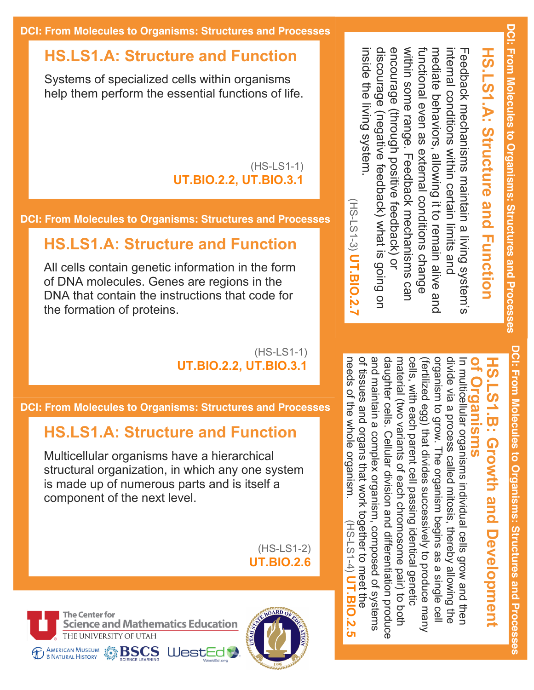# **HS.LS1.A: Structure and Function** LS1.A: Structure and Function

discourage (negative feedback) what is going on encourage (through positive feedback) or within some range. Feedback mechanisms can within some functional even as external conditions change mediate behaviors, allowing it to remain alive and inside the living system discourage (negative feedback) what is going on encourage (through positive functional even as external conditions change mediate behaviors, allowing it to remain alive internal conditions Feedback mechanisms maintain a living system's Feedback mechanisms maintain a living system's nternal conditions within certain limits and the living system. range. Feedback mechanisms can within certain limits and feedback) or

(HS-LS1-3) UT.BIO.2 (HSLS13) **UT.BIO.2.7**

> DCI: From Molecules to Organisms: Structures and Processes **DCI: From Molecules to Organisms: Structures and Processes**

### **HS.LS1.B: Growth and Development Organisms** swslue  $\overline{\overline{\mathfrak{g}}}$ Growth and Development

needs of the whole organism of tissues and organs that work together to meet the and maintain a complex organism, composed of systems daughter cells. Cellular division and differentiation produce cells, with each parent cell passing identical genetic<br>material (two variants of each chromosome pair) to both organism to grow. The organism begins as a single cell divide via a process called mitosis, thereby allowing the needs of the whole organism. of tissues and daughter cells. Cellular division and differentiation produce material (two variants of each chromosome pair) to cells, with each parent cell passing (fertilized egg) that divides successively to produce many (fertilized egg) that divides organism to grow. The divide via a In multicellular organisms individual cells grow and then <u>Q</u> In multicellular organisms individual cells grow and ther maintain a complex organism, composed of systems process called mitosis, thereby allowing the organs that work together to meet the organism begins as a single cell successively to produce many (HSLS14)  $LD(5-13H)$ identical genetic **UT.BIO.2.5Hall** .<br>تا

#### **HS.LS1.A: Structure and Function**

Systems of specialized cells within organisms help them perform the essential functions of life.

#### $(HS-LS1-1)$ **UT.BIO.2.2, UT.BIO.3.1**

**DCI: From Molecules to Organisms: Structures and Processes**

#### **HS.LS1.A: Structure and Function**

All cells contain genetic information in the form of DNA molecules. Genes are regions in the DNA that contain the instructions that code for the formation of proteins.

#### $(HS-LS1-1)$ **UT.BIO.2.2, UT.BIO.3.1**

**DCI: From Molecules to Organisms: Structures and Processes**

#### **HS.LS1.A: Structure and Function**

Multicellular organisms have a hierarchical structural organization, in which any one system is made up of numerous parts and is itself a component of the next level.

> $(HS-LS1-2)$ **UT.BIO.2.6**





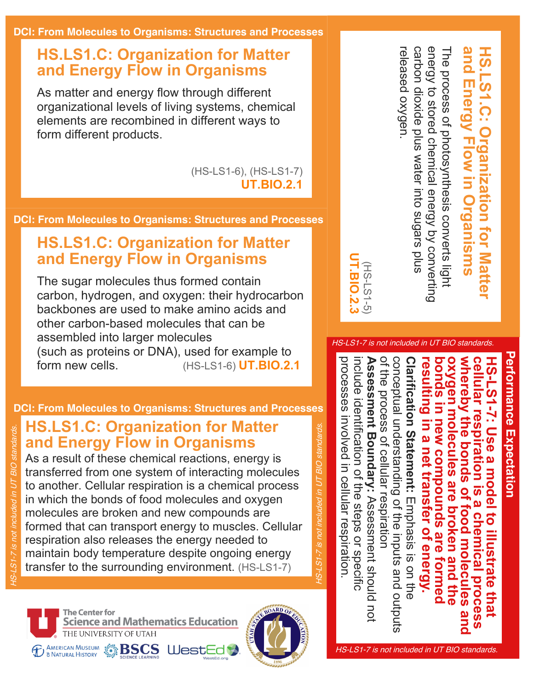#### **HS.LS1.C: Organization for Matter and Energy Flow in Organisms**

As matter and energy flow through different organizational levels of living systems, chemical elements are recombined in different ways to form different products.

> (HS-LS1-6), (HS-LS1-7) **UT.BIO.2.1**

#### **DCI: From Molecules to Organisms: Structures and Processes**

#### **HS.LS1.C: Organization for Matter and Energy Flow in Organisms**

The sugar molecules thus formed contain carbon, hydrogen, and oxygen: their hydrocarbon backbones are used to make amino acids and other carbon-based molecules that can be assembled into larger molecules (such as proteins or DNA), used for example to form new cells. **(HS-LS1-6)** UT.BIO.2.1

#### **DCI: From Molecules to Organisms: Structures and Processes**

#### **HS.LS1.C: Organization for Matter and Energy Flow in Organisms**

As a result of these chemical reactions, energy is transferred from one system of interacting molecules to another. Cellular respiration is a chemical process in which the bonds of food molecules and oxygen molecules are broken and new compounds are formed that can transport energy to muscles. Cellular respiration also releases the energy needed to maintain body temperature despite ongoing energy transfer to the surrounding environment. (HS-LS1-7)

WestEd<sup>2</sup>

**The Center for Science and Mathematics Education** THE UNIVERSITY OF UTAH

**AMERICAN MUSEUM SOLING LEARNING** 



### **and Energy HS.LS1.C: Organization for Matter**  <u>て</u> Ind Energy Flow in Organisms **Flow in Organisms** rganization for Matte

energy to stored chemical energy by converting released oxygen released oxygen. carbon dioxide plus water into sugars plus carbon dioxide plus water into sugars energy to stored The process of photosynthesis converts light The process of photosynthesis converts light chemical energy by converting

(HSLS15) **UT.BIO.2.3**

JT.BIO.2.3  $S-LS$ -SH2

# **Performance Expectation** Performance Expectatior

**Clarification Statement:** Emphasis is on the **Clarification Statement: bonds in new oxygen molecules are broken and the compounds are formed is a chemical process whereby the bonds of food molecules and cellular respiration** HS**resulting in a net transfer of energy. HSLS17: Use a model to illustrate that**  resulting in a net transfer of energy. spuo **Pre** ular respiration is LS1-7: Use  $\overline{\mathbf{e}}$ by the bonds o In new compounds are rormed molecules a mode **gre** Emphasis is on the  $\overline{5}$ DOO roken **Ilustrate** and the **Iecules PCess** that

HS-LS1-7 is not included in UT BIO standards.

the inputs and outputs

Assessment should not

the steps or specific

conceptual understanding of

conceptual understanding of the inputs and outputs

HS-LS1-7 is not included in UT BIO standards.

of the process of cellular respiration

of the process of cellular respiration

**Assessment Boundary:** 

Assessment Boundary: Assessment should not

include identification of

include identification of the steps or specific

processes involved in cellular respiration.

processes involved in cellular respiration.

HS-LS1-7 is not included in UT BIO standards.

IS-LS1-7 is not included in UT BIO standards.

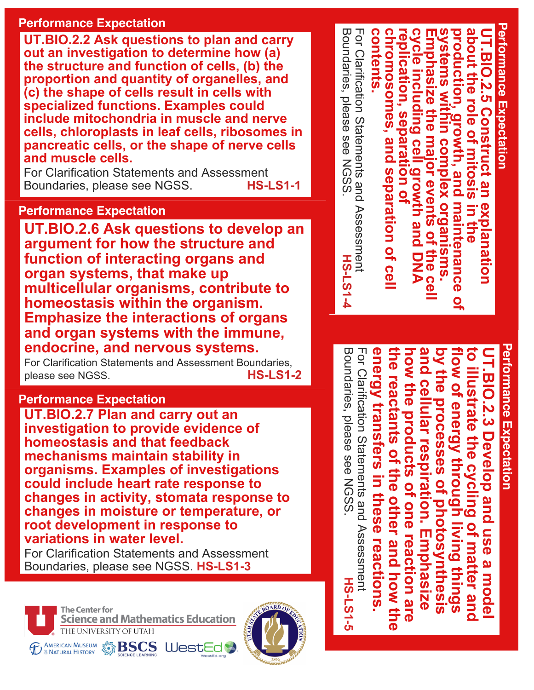#### **Performance Expectation**

**UT.BIO.2.2 Ask questions to plan and carry out an investigation to determine how (a) the structure and function of cells, (b) the proportion and quantity of organelles, and (c) the shape of cells result in cells with specialized functions. Examples could include mitochondria in muscle and nerve cells, chloroplasts in leaf cells, ribosomes in pancreatic cells, or the shape of nerve cells and muscle cells.**

For Clarification Statements and Assessment<br>Boundaries, please see NGSS. **HS-LS1-1** Boundaries, please see NGSS.

#### **Performance Expectation**

**UT.BIO.2.6 Ask questions to develop an argument for how the structure and function of interacting organs and organ systems, that make up multicellular organisms, contribute to homeostasis within the organism. Emphasize the interactions of organs and organ systems with the immune, endocrine, and nervous systems.**

For Clarification Statements and Assessment Boundaries, please see NGSS. **HS-LS1-2** 

#### **Performance Expectation**

**UT.BIO.2.7 Plan and carry out an investigation to provide evidence of homeostasis and that feedback mechanisms maintain stability in organisms. Examples of investigations could include heart rate response to changes in activity, stomata response to changes in moisture or temperature, or root development in response to variations in water level.**

For Clarification Statements and Assessment Boundaries, please see NGSS. **HS-LS1-3**

WestEd





**Performance Expectation Performance Expectation** Boundaries, please see NGSS For Clarification Statements and Assessment contents **chromosomes, and separation of cell replication, separation of cycle including cell growth and DNA Emphasize the major events of the cell systems within complex organisms. production, growth, and maintenance of**  For Clarification Statements and Assessment **contents. about the role of mitosis in the UT.BIO.2.5 Construct an explanation**  bout the role **T.BIO.2** Construct an **Of mitosis** in the explanation **HS-LS1-4** 

Boundaries, please see NGSS.

**HS-LS1-4**

**Performance Expectation Performance Expectation** 

Boundaries, please see NGSS **the reactants of the other and how the flow of energy through living things to illustrate the cycling of matter and**  Boundaries, please see NGSS. For Clarification Statements and Assessment For Clarification Statements and Assessment energy transfers in these reactions. **energy transfers in these reactions. how the products of one reaction are and cellular respiration. Emphasize by the processes of photosynthesis UT.BIO.2.3 Develop and use a model**  and cellular respiration. Emphasize by the processes of photosynthesis he reactants of the other and how the now the products of one reaction are o illustrate the cycling of matter and low of energy through <u>. BIO.2.3 Develop and</u> living things use a mode **HS-LS1-5 HS-LS1-5**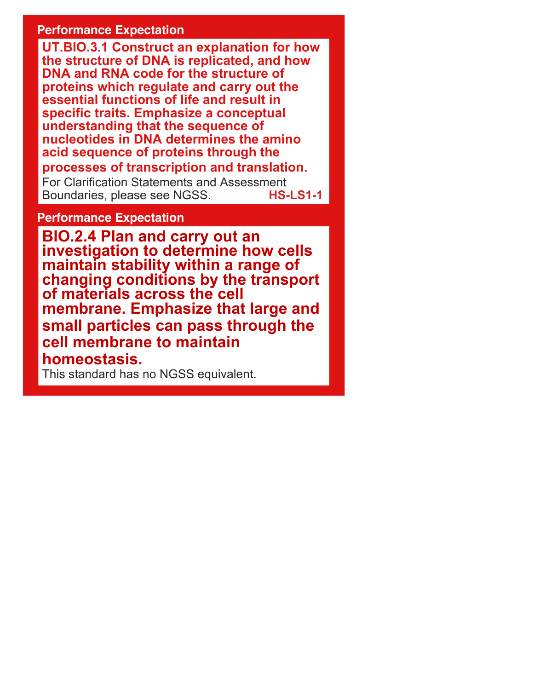#### **Performance Expectation**

**UT.BIO.3.1 Construct an explanation for how the structure of DNA is replicated, and how DNA and RNA code for the structure of proteins which regulate and carry out the essential functions of life and result in specific traits. Emphasize a conceptual understanding that the sequence of nucleotides in DNA determines the amino acid sequence of proteins through the processes of transcription and translation.** For Clarification Statements and Assessment Boundaries, please see NGSS. **HS-LS1-1**

#### **Performance Expectation**

**BIO.2.4 Plan and carry out an investigation to determine how cells maintain stability within a range of changing conditions by the transport of materials across the cell membrane. Emphasize that large and small particles can pass through the cell membrane to maintain homeostasis.**

This standard has no NGSS equivalent.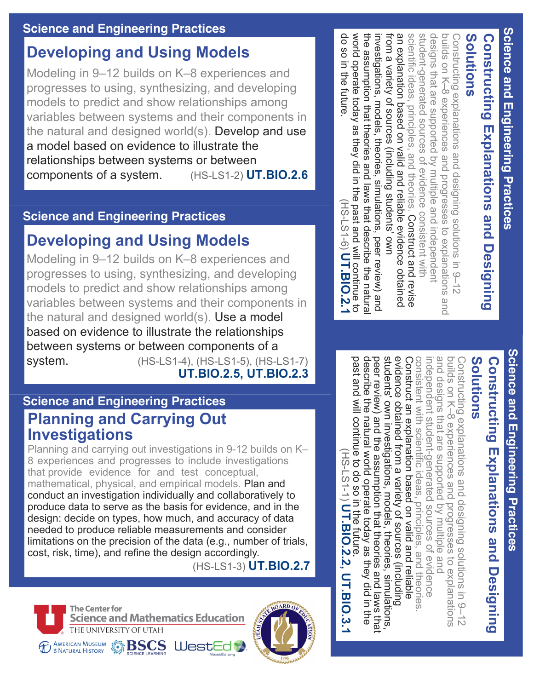#### **Science and Engineering Practices**

#### **Developing and Using Models**

Modeling in 9–12 builds on K–8 experiences and progresses to using, synthesizing, and developing models to predict and show relationships among variables between systems and their components in the natural and designed world(s). Develop and use a model based on evidence to illustrate the relationships between systems or between components of a system. (HS-LS1-2) **UT.BIO.2.6** 

#### **Science and Engineering Practices**

#### **Developing and Using Models**

Modeling in 9–12 builds on K–8 experiences and progresses to using, synthesizing, and developing models to predict and show relationships among variables between systems and their components in the natural and designed world(s). Use a model based on evidence to illustrate the relationships between systems or between components of a system. (HS-LS1-4), (HS-LS1-5), (HS-LS1-7) **UT.BIO.2.5, UT.BIO.2.3**

#### **Science and Engineering Practices Planning and Carrying Out**

**Investigations** Planning and carrying out investigations in 9-12 builds on K– 8 experiences and progresses to include investigations that provide evidence for and test conceptual, mathematical, physical, and empirical models. Plan and conduct an investigation individually and collaboratively to produce data to serve as the basis for evidence, and in the design: decide on types, how much, and accuracy of data needed to produce reliable measurements and consider

limitations on the precision of the data (e.g., number of trials,

(HSLS13) **UT.BIO.2.7**

-dM



cost, risk, time), and refine the design accordingly.



do so in the future world operate today as they did in the past and will continue to the assumption that theories and laws that describe the natura an explanation based on valid and reliable evidence obtained scientific ideas, principles, and theories. Construct and revise student-generated sources of evidence consistent with designs that are supported by multiple and independent builds on K-8 experiences and progresses to explanations and do so in the investigations, models, theories, simulations, peer review) and investigations, models, theories, simulations, peer review) and from a variety of sources (including students' own from a variety of sources (including students' own an explanation based on valid and reliable scientific ideas, principles, and theories. studentgenerated sources of evidence designs that are supported builds on K–8 Constructing explanations and designing solutions in 9–12 Solutions **Solutions Constructing Explanations and Designing Constructing Explanations and Designing** Constructing explanations and designing solutions in 9–12 assumption that theories and laws that describe the natural operate today as they did in the past and will continue to experiences and progresses to explanations and by multiple and independent  $(HS-LS1-6)$  **UT.BIO.2.1** (HSLS16) consistent with Construct and revise evidence obtained **UT.BIO.2.1**

# Science and Engineering Practices **Science and Engineering Practices**

# Solutions **Solutions Constructing Explanations and Designing Constructing Explanations and Designing**

and designs that are supported by multiple and describe the natural world operate today as they did in the<br>past and will continue to do so in the future. past and will continue to do so in the describe the natural world peer review) and the assumption that theories and laws that peer review) and the students' own investigations, models, theories, simulations students' own evidence obtained from a variety of sources (including evidence Construct an explanation based on valid and reliable consistent with scientific ideas, principles, and theories consistent with scientific ideas, principles, and theories. independent student-generated sources of evidence independent studentgenerated sources of evidence and designs that are supported builds on K-8 experiences and builds on K–8 Constructing explanations and designing solutions in 9–12 Construct an explanation based on valid and reliable Constructing explanations and designing solutions in 9-12 obtained from a variety of sources (including investigations, models, theories, simulations, experiences and progresses to explanations  $(HS-LS1-1)$  **UT.BIO.2.2, UT.BIO.3.1** (HSLS11) assumption that theories and laws that operate today as they did in the brogresses to explanations by multiple and **UT.BIO.2.2, UT.BIO.3.1**

Science and Engineering Practices **Science and Engineering Practices**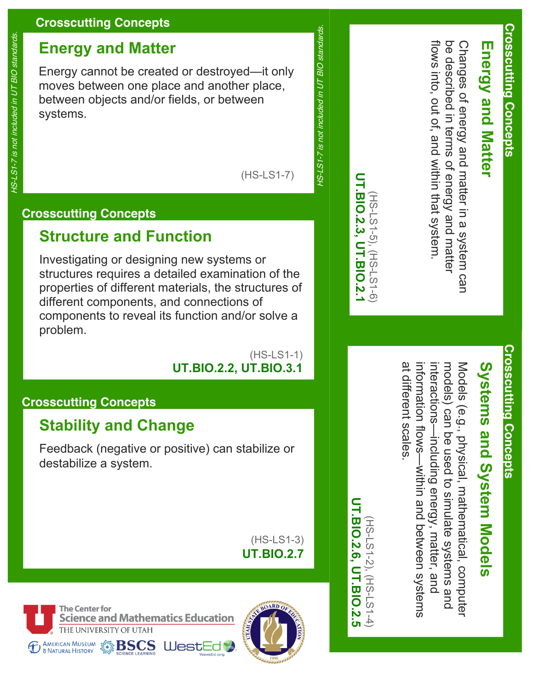#### **Crosscutting Concepts**

#### **Energy and Matter**

Energy cannot be created or destroyed—it only moves between one place and another place, between objects and/or fields, or between systems.

 $(HS-LS1-7)$ 

#### **Crosscutting Concepts**

#### **Structure and Function**

Investigating or designing new systems or structures requires a detailed examination of the properties of different materials, the structures of different components, and connections of components to reveal its function and/or solve a problem.

#### $(HS-LS1-1)$ **UT.BIO.2.2, UT.BIO.3.1**

#### **Crosscutting Concepts**

#### **Stability and Change**

Feedback (negative or positive) can stabilize or destabilize a system.

**West** 

=CIV

 $(HS-LS1-3)$ **UT.BIO.2.7**









HS-LS1-7 is not included in UT BIO standards.

HS-LS1-7 is not included in UT BIO standards.

(HSLS15), (HSLS16) **UT.BIO.2.3, UT.BIO.2.1**

**UT.BIO.2.3, UT.BIO.2.1**  $(HS-LS1-S1)$ ,  $(HS-LS1-6)$ 

**UT.BIO.2.6, UT.BIO.2.5 UT.BIO.2.6, UT.BIO.2.5**  $(HS-LS-2)$ (HSLS12), (HSLS14)  $+15-151$ 

**Crosscutting Concepts Crosscutting Concepts** 

# **Systems and System Models** Systems and System Models

at different scales at different scales. information flows-Interactionsmodels) can be used to simulate systems and Models (e.g., physical, mathematical, compute information flows—within and between systems interactions—including energy, matter, and models) can be used Models (e.g., physical, mathematical, computer -including energy, matter, and -within and between systems to simulate systems and

# **Energy and Matter Energy and Matter**

**Crosscutting Concepts**

**Crosscutting Concepts** 

flows into, out of, and within that system flows into, out of, and within that system. be described in terms of energy and matter be described in Changes of energy and matter in a system can Changes of energy and matter in a system can terms of energy and matter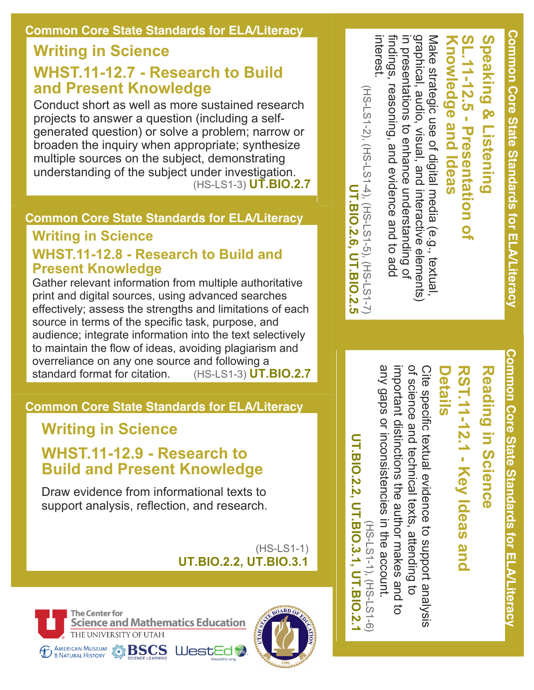#### **Common Core State Standards for ELA/Literacy**

#### **Writing in Science** WHST.11-12.7 - Research to Build **and Present Knowledge**

Conduct short as well as more sustained research projects to answer a question (including a selfgenerated question) or solve a problem; narrow or broaden the inquiry when appropriate; synthesize multiple sources on the subject, demonstrating understanding of the subject under investigation. (HSLS13) **UT.BIO.2.7**

#### **Common Core State Standards for ELA/Literacy**

#### **Writing in Science** WHST.11-12.8 - Research to Build and **Present Knowledge**

Gather relevant information from multiple authoritative print and digital sources, using advanced searches effectively; assess the strengths and limitations of each source in terms of the specific task, purpose, and audience; integrate information into the text selectively to maintain the flow of ideas, avoiding plagiarism and overreliance on any one source and following a standard format for citation. (HS-LS1-3) **UT.BIO.2.7** 

**Common Core State Standards for ELA/Literacy**

#### **Writing in Science**

#### **WHST.11-12.9 - Research to Build and Present Knowledge**

Draw evidence from informational texts to support analysis, reflection, and research.

> $(HS-LS1-1)$ **UT.BIO.2.2, UT.BIO.3.1**









findings, findings, reasoning, and evidence and to add graphical, audio, visual, and interactive elements graphical, audio, **SL.1112.5 Presentation of**  interest. in presentations to enhance Make strategic use of digital media Make strategic use of digital media (e.g., textual, **Knowledge and** nteres n presentations Inowledge and ldeas L.11-12.5 - Presentation reasoning, and evidence and to add to enhance understanding of visual, and interactive elements) understanding of  $\overline{Q}$  $\widehat{\mathbf{e}}$ .g., textua

(HSLS12), (HSLS14), (HSLS15), (HSLS17) **UT.BIO.2.6, UT.BIO.2.5**

> **Common Core State Standards for ELA/Literacy** Common Core State Stands for ELA/Literac

# Reading in Science **Reading in Science**

**Speaking & Listening**

Listening

peaking &

**Common Core State Standards for ELA/Literacy**

Common Core State Standards for ELA/Literacy

# **RST.1112.1 Key Ideas and**  RST111-12.1 - Key Ideas and **Details**

any gaps or inconsistencies in the account. any gaps or inconsistencies in the account. inportant distinctions the author makes and to of science and technical texts, attending of science and important distinctions the author makes Cite specific textual evidence to support analysis Cite specific textual evidence to support analysis technical texts, attending to  $\overline{a}$ 

UT.BIO.2.2, UT.BIO.3.1, UT.BIO.2.1 **UT.BIO.2.2, UT.BIO.3.1, UT.BIO.2.1** (HS-LS1-1), (HS-LS (HSLS11), (HSLS16)  $-6 - 1$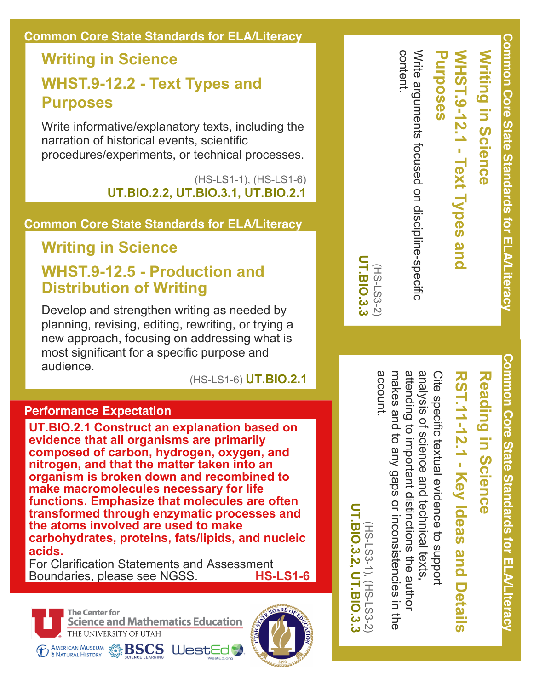#### **Common Core State Standards for ELA/Literacy**

#### **Writing in Science**

#### WHST.9-12.2 - Text Types and **Purposes**

Write informative/explanatory texts, including the narration of historical events, scientific procedures/experiments, or technical processes.

> (HS-LS1-1), (HS-LS1-6) **UT.BIO.2.2, UT.BIO.3.1, UT.BIO.2.1**

#### **Common Core State Standards for ELA/Literacy**

#### **Writing in Science**

#### WHST.9-12.5 - Production and **Distribution of Writing**

Develop and strengthen writing as needed by planning, revising, editing, rewriting, or trying a new approach, focusing on addressing what is most significant for a specific purpose and audience.

(HSLS16) **UT.BIO.2.1**

#### **Performance Expectation**

**UT.BIO.2.1 Construct an explanation based on evidence that all organisms are primarily composed of carbon, hydrogen, oxygen, and nitrogen, and that the matter taken into an organism is broken down and recombined to make macromolecules necessary for life functions. Emphasize that molecules are often transformed through enzymatic processes and the atoms involved are used to make carbohydrates, proteins, fats/lipids, and nucleic acids.**

For Clarification Statements and Assessment<br>Boundaries, please see NGSS. **HS-LS1-6** Boundaries, please see NGSS.







Write arguments focused on discipline-specific Write arguments focused on disciplinespecific WHST.9-12.1 - Text Types and **Writing in Science** Writing in Science **NHST.9-12.1 Purposes** I - Text Types and

content.

**Common Core State Standards for ELA/Literacy**

Common Core State Standards for ELA/Literac)

UT.BIO.3.3 **UT.BIO.3.3**  $(HS - 23 - 2)$ (HSLS32)

> **Common Core State Standards for ELA/Literacy** Common Core State Standards for ELA/Literacy

# **Reading in Science** Reading in Science

# **RST.1112.1 Key Ideas and Details RST.11-12.1 - Key ldeas and Details**

account. makes and to any gaps or inconsistencies in the attending to important distinctions the author analysis of science and technical texts account. attending to important distinctions the author analysis of science and Cite specific textual evidence to support Cite specific textual evidence to support and to any gaps or inconsistencies in the technical texts,

**UT.BIO.3.2, UT.BIO.3.3 UT.BIO.3.2, UT.BIO.3.3**(HS-LS3-1), (HS-LS3-2) (HSLS31), (HSLS32)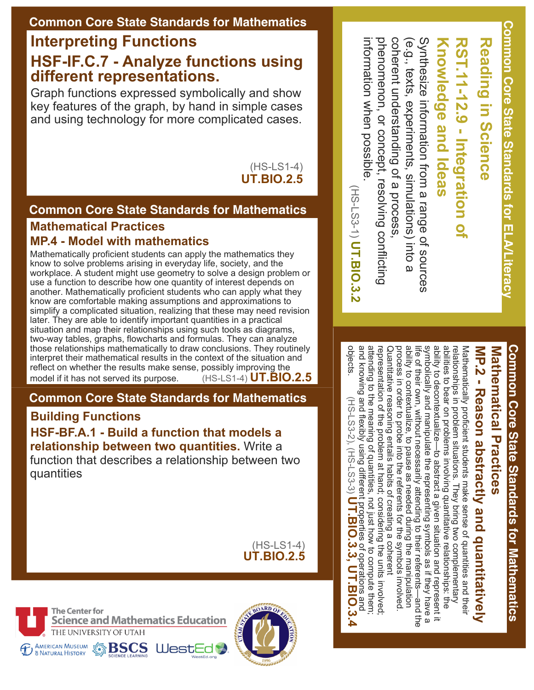#### **Common Core State Standards for Mathematics**

#### **Interpreting Functions**

#### **HSF-IF.C.7 - Analyze functions using different representations.**

Graph functions expressed symbolically and show key features of the graph, by hand in simple cases and using technology for more complicated cases.

> $(HS-LS1-4)$ **UT.BIO.2.5**

#### **Common Core State Standards for Mathematics**

#### **Mathematical Practices MP.4 Model with mathematics**

Mathematically proficient students can apply the mathematics they know to solve problems arising in everyday life, society, and the workplace. A student might use geometry to solve a design problem or use a function to describe how one quantity of interest depends on another. Mathematically proficient students who can apply what they know are comfortable making assumptions and approximations to simplify a complicated situation, realizing that these may need revision later. They are able to identify important quantities in a practical situation and map their relationships using such tools as diagrams, two-way tables, graphs, flowcharts and formulas. They can analyze those relationships mathematically to draw conclusions. They routinely interpret their mathematical results in the context of the situation and reflect on whether the results make sense, possibly improving the model if it has not served its purpose. (HS-LS1-4) **UT.BIO.2.5** 

#### **Common Core State Standards for Mathematics**

#### **Building Functions**

**HSF-BF.A.1 - Build a function that models a relationship between two quantities.** Write a function that describes a relationship between two quantities

> $(HS-LS1-4)$ **UT.BIO.2.5**

**The Center for Science and Mathematics Education** THE UNIVERSITY OF UTAH



**GBSCS** WestEd<sup>1</sup>



**Knowledge and Ideas RST.1112.9 Integration of Reading in Science** Reading in Science nowledge and Ideas .11-12.9 - Integration of

**Common Core State Standards for ELA/Literacy**

Common Core State Standards for ELA/Literacy

coherent understanding of a Synthesize information from a range of sources information phenomenon, or concept, resolving contlicting phenomenon, or concept, resolving conflicting coherent understanding of a process (e.g., texts, Synthesize information from a range of sources ntormation when possible (e.g., texts, experiments, simulations) into a when possible. experiments, simulations) into a process,

 $(HS-LSS_{-1})$   $\bf UTEIO.3.2$ (HSLS31) **UT.BIO.3.2**

# **Common Core State Standards for Mathematics Common Core State Standards for Mathematics**

# MP: 2 - Reason apstractly and drantitatively **MP.2 Reason abstractly and quantitatively** Mathematical Practices **Mathematical Practices**

objects. life of their own, without necessarily attending to their referents—and the<br>ability to contextualize, to pause as needed during the manipulation attending to the meaning of quantities, not just how to compute them symbolically and manipulate the representing symbols as if they have ability to decontextualize-to abstract a given situation and represent it relationships in problem situations. They bring two complementary<br>abilities to bear on problems involving quantitative relationships: the and knowing and flexibly using different attending to the meaning of quantities, not representation of the problem at hand; considering the units involved Quantitative reasoning entails habits of creating a coherent Quantitative reasoning process in order to probe into the referents for the symbols involved symbolically representation of the problem at hand; process in order life of their own, relationships in problem situations. They bring two complementary Mathematically proficient students make sense of quantities and their Mathematically proficient students make sense of quantities and their to bear on problems involving quantitative relationships: the contextualize, to pause as needed during the manipulation decontextualize—to abstract a given situation and represent it and manipulate the representing symbols as if they have a (HSLS32), (HSLS33) without necessarily attending to their referents—and the to probe into the referents for the symbols involved. entails habits of creating a coherent **UT.BIO.3.3, UT.BIO.3.4**considering the units involved; properties of operations and just how to compute them; **UT.BIO.3.4** മ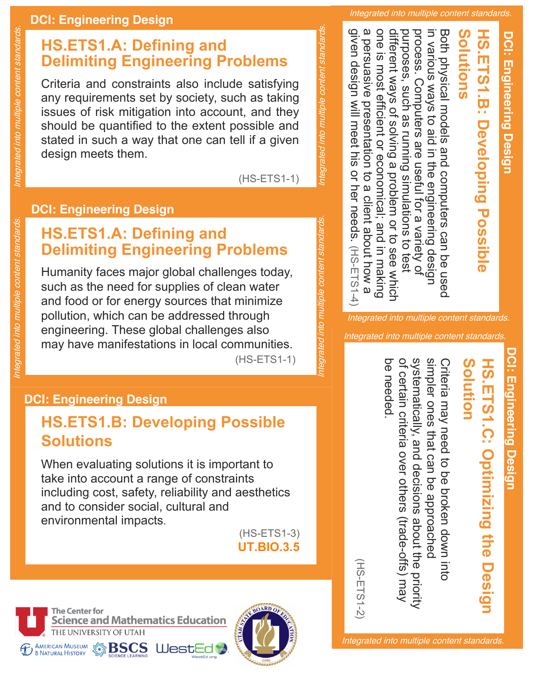#### **DCI: Engineering Design**

#### **HS.ETS1.A: Defining and Delimiting Engineering Problems**

Criteria and constraints also include satisfying any requirements set by society, such as taking issues of risk mitigation into account, and they should be quantified to the extent possible and stated in such a way that one can tell if a given design meets them.

 $(HS-ETS1-1)$ 

#### **DCI: Engineering Design**

#### **HS.ETS1.A: Defining and Delimiting Engineering Problems**

Humanity faces major global challenges today, such as the need for supplies of clean water and food or for energy sources that minimize pollution, which can be addressed through engineering. These global challenges also may have manifestations in local communities.  $(HS-ETS1-1)$ 

#### **DCI: Engineering Design**

#### **HS.ETS1.B: Developing Possible Solutions**

When evaluating solutions it is important to take into account a range of constraints including cost, safety, reliability and aesthetics and to consider social, cultural and environmental impacts.

 $(HS-ETS1-3)$ **UT.BIO.3.5**

**The Center for Science and Mathematics Education** THE UNIVERSITY OF UTAH







process. Computers are useful for a

purposes, such as running simulations to test<br>different ways of solving a problem or to see which purposes, such as running simulations to test

ways of solving a problem or to see which

economical; and in making

one is most efficient or

given design will meet his or her needs.

given design will meet his or her needs. (HS-ETS1-4) a persuasive presentation to a client about how a one is most efficient or economical; and in making

Integrated into multiple content standards.

ntegrated into multiple content standards

(HSETS14)

Integrated into multiple content standards.

ntegrated into multiple content standards

a persuasive presentation to a client about how a

Both physical models and computers can be used in various ways to aid in the engineering design<br>process. Computers are useful for a variety of in various ways to Both physical models and computers can be used **Solutions HS.ETS1.B: Developing Possible**  <u>ქ</u> Solutions ETS1.Beveloping Possible. aid in the engineering design

**DCI: Engineering Design**

DCI: Engineering Design

Integrated into multiple content standards.

Integrated into multiple content standards.

# **DCI: Engineering Design DCI: Engineering Design**

### **Solution HS.ETS1.C: Optimizing the Design**  HS.ETS1.C: **Solution** ptimizing the Des

ot certain criteria over others (trade-offs) may systematically, and decisions about the priority simpler ones that can be approached be needed be needed. of certain systematically, and decisions about the priority simpler ones that can be Criteria may need to be broken down into Criteria may need to be broken down into criteria over others (trade-offs) may approached

(HS-ETS1-2)  $(HS-EST31-2)$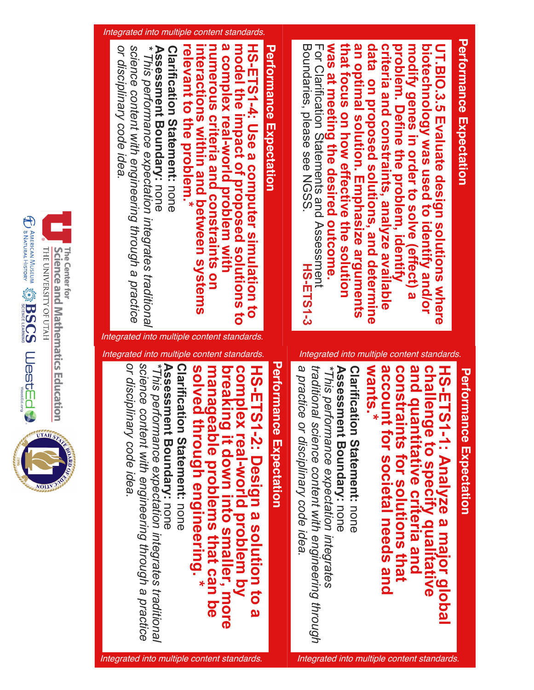was at meeting the desired outcome. that focus on how effective the solution an optimal solution. Emphasize arguments data on proposed solutions, and determine criteria and constraints, analyze available modify genes in order to solve (effect) a Boundaries, please see NGSS For Clarification Statements and Assessment **was at meeting the desired outcome. that focus on how effective the solution an optimal solution. Emphasize arguments data on proposed solutions, and determine**  problem. Define the problem, identify biotechnology was used to identify and/or UT.BIO.3.5 Boundaries, please see NGSS. For Clarification Statements and Assessment **criteria and constraints, analyze available problem. Define the problem, identify modify genes in order to solve (effect) a biotechnology was used to identify and/or UT.BIO.3.5 Evaluate design solutions where**  Evaluate design solutions where **HS-ETS1-3 HS-ETS1-3**

Integrated into multiple content standards.

account for societal needs and and quantitative criteria and **wants.\* account for societal needs and**  constraints for solutions that **constraints for and quantitative criteria and solutions that**  challenge to specify qualitative **challenge to specify HSETS11: Analyze a major global**  HS-ETS1-1: Analyze a major globa **qualitative** 

**Performance Expectation**

Performance Expectation

**Clarification Statement: Clarification Statement:** none **Assessment Boundary:** Assessment Boundary: none

\*This performance expectation integrates *\*This performance expectation integrates*

a practice or disciplinary code idea *a practice or disciplinary code idea.* traditional science content with engineering through *traditional science content with engineering through*

**Performance Expectation Performance Expectation** 

**HS-ETS1-4: Use a computer simulation to a computer simulation to** 

model the impact of proposed solutions to HS-ETS1-4: Use a computer simulation to

**numerous criteria and constraints on a complex realworld problem with**

numerous criteria and constraints on

a complex real-world problem with

**of proposed solutions to** 

**Performance Expectation**

**Performance Expectation** 

**Clarification Statement:** none **Clarification Statement:**  solved through engineering. **solved through engineering. \*** manageable problems that can be breaking it down into smaller, more complex real-world problem by **complex realworld HSETS12: Design a solution to a**  HS-ETS1-2: Design a solution to **manageable breaking it down into smaller, more problems that can be problem by**  യ

**Assessment Boundary:** Assessment Boundary: none

Integrated into multiple content standards.

Integrated into multiple content standards.

or disciplinary code idea science content with engineering through a practice \*This performance expectation integrates traditiona *or disciplinary code idea. science content with engineering through a practice \*This performance expectation integrates traditional*

**Clarification Statement:** 

**Assessment Boundary:** Assessment Boundary: none

*or disciplinary code idea.*

or alsciplinary code idea

*science content with engineering through a practice \* This performance expectation integrates traditional*

science content with engineering through a practice

\* This performance expectation integrates traditional

**relevant to the problem.\* Clarification Statement: none** 

relevant to the problem.\*

**interactions within**

**and between systems** 

interactions within and between systems



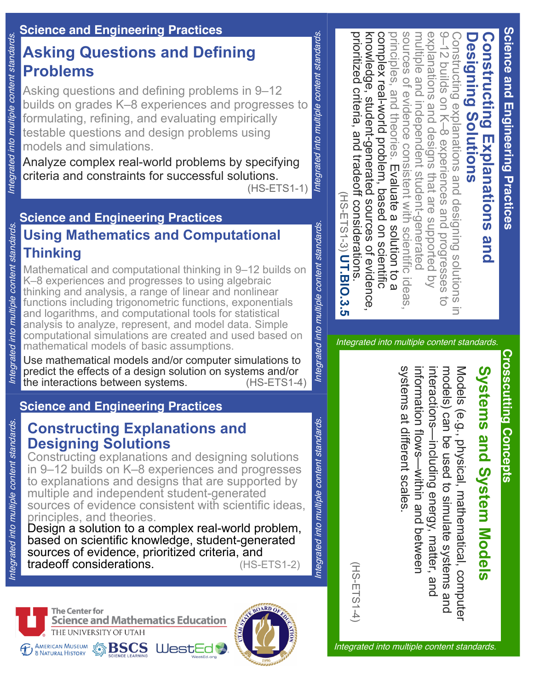#### **Science and Engineering Practices**

#### **Asking Questions and Defining Problems**

Asking questions and defining problems in 9–12 builds on grades K–8 experiences and progresses to formulating, refining, and evaluating empirically testable questions and design problems using models and simulations.

Analyze complex real-world problems by specifying criteria and constraints for successful solutions.

Integrated into multiple content standards. Integrated into multiple content standards. $(HS-ETS1-1)$ 

Integrated into multiple content standards.

Integrated into multiple content standards.

#### **Science and Engineering Practices**

#### **Using Mathematics and Computational Thinking**

Mathematical and computational thinking in 9–12 builds on K–8 experiences and progresses to using algebraic thinking and analysis, a range of linear and nonlinear functions including trigonometric functions, exponentials and logarithms, and computational tools for statistical analysis to analyze, represent, and model data. Simple computational simulations are created and used based on mathematical models of basic assumptions.

Use mathematical models and/or computer simulations to predict the effects of a design solution on systems and/or the interactions between systems. (HS-ETS1-4)

#### **Science and Engineering Practices**

#### **Constructing Explanations and Designing Solutions**

Constructing explanations and designing solutions in 9–12 builds on K–8 experiences and progresses to explanations and designs that are supported by multiple and independent student-generated sources of evidence consistent with scientific ideas. principles, and theories.

Design a solution to a complex real-world problem, based on scientific knowledge, student-generated sources of evidence, prioritized criteria, and tradeoff considerations. (HS-ETS1-2)

**The Center for Science and Mathematics Education** THE UNIVERSITY OF UTAH



WestEd<sup>1</sup>



9–12 builds on K–8 Constructing explanations **Designing Constructing Constructing Explanations and**  Designing Solutions **Solutions** Explanations **and** 

**Science and Engineering Practices**

**Engineering Practices** 

Science and

spling z<sub>17</sub> prioritized criteria, and tradeoff considerations knowledge, student-generated sources of evidence. complex real-world problem, complex realworld problem, based on principles, and sources of sources of evidence explanations and designs that are supported explanations and designs that are supported Constructing explanations and designing solutions in prioritized criteria, and tradeoff considerations. knowledge, studentgenerated sources of evidence, principles, and theories. multiple multiple and independent studentgenerated and independent student-generated evidence consistent with scientific ide on K-8 theories. Evaluate a solution to a experiences and experiences and progresses to consistent with scientific ideas, Evaluate a solution to a and designing solutions based on scientific (HS-ETS1-3) [JT.BIO.3.5 progresses<br>ported by scientific **UT.BIO.3.5** Sĕ  $\overrightarrow{C}$  $\equiv$ 

(HS-ETS1-3)

# **Crosscutting Concepts** Integrated into multiple content standards.

# **Systems and System Models** Vstems and System Models

rosscutting Concepts

systems at different scales systems at different scales. information flows--- Alithin and petween information flows—within and between interactions—including energy, matter, and models) can models) can be used Models (e.g., physical, mathematical, compute Models (e.g., physical, mathematical, computer nteractions—including energy, matter, and be used to simulate systems and to simulate systems and

Integrated into multiple content standards.

(HSETS14)

(HS-ETS1-4

Integrated into multiple content standards.

ntegrated into multiple content standards.

Integrated into multiple content standards.

Integrated into multiple content standards.